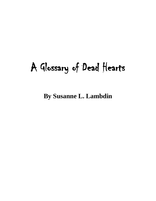# A Glossary of Dead Hearts

**By Susanne L. Lambdin**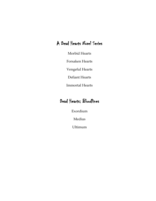# A Dead Hearts Novel Series

Morbid Hearts

Forsaken Hearts

Vengeful Hearts

Defiant Hearts

Immortal Hearts

# Dead Hearts: Bloodlines

Exordium

Medius

Ultimum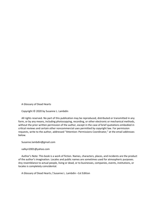A Glossary of Dead Hearts

Copyright © 2020 by Susanne L. Lambdin

All rights reserved. No part of this publication may be reproduced, distributed or transmitted in any form, or by any means, including photocopying, recording, or other electronic or mechanical methods, without the prior written permission of the author, except in the case of brief quotations embodied in critical reviews and certain other noncommercial uses permitted by copyright law. For permission requests, write to the author, addressed "Attention: Permissions Coordinator," at the email addresses below.

Susanne.lambdin@gmail.com

valkyri2001@yahoo.com

Author's Note: This book is a work of fiction. Names, characters, places, and incidents are the product of the author's imagination. Locales and public names are sometimes used for atmospheric purposes. Any resemblance to actual people, living or dead, or to businesses, companies, events, institutions, or locales is completely coincidental.

A Glossary of Dead Hearts / Susanne L. Lambdin –1st Edition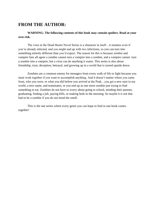# **FROM THE AUTHOR:**

**WARNING: The following contents of this book may contain spoilers. Read at your own risk.**

The virus in the Dead Hearts Novel Series is a character in itself…it mutates even if you're already infected, and you might end up with two infections, so you can turn into something entirely different than you'd expect. The reason for this is because zombie and vampire fans all agree a zombie cannot turn a vampire into a zombie, and a vampire cannot turn a zombie into a vampire, but a virus can do anything it wants. This series is also about friendship, trust, deception, betrayal, and growing up in a world that is turned upside down.

Zombies are a common enemy for teenagers from every walk of life to fight because you must work together if you want to accomplish anything. And it doesn't matter where you came from, who you were, or what you did before you arrived at the Peak…you get a new start in my world, a new name, and teammates, or you end up as one more zombie just trying to find something to eat. Zombies do not have to worry about going to school, minding their parents, graduating, finding a job, paying bills, or making beds in the morning. So maybe it is not that bad to be a zombie if you do not mind the smell.

This is the one series where every genre you can hope to find in one book comes together!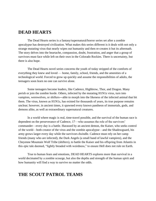# **DEAD HEARTS**

The Dead Hearts series is a fantasy/supernatural/horror series set after a zombie apocalypse has destroyed civilization. What makes this series different is it deals with not only a strange mutating virus that nearly wipes out humanity and then re-creates it but its aftermath. The story delves into the heartache, compassion, doubt, frustration, and anger that a group of survivors must face while left on their own in the Colorado Rockies. There is uncertainty, but there is also hope.

The Dead Hearts novel series concerns the youth of today stripped of the comforts of everything they knew and loved — home, family, school, friends, and the amenities of a technological world. Forced to grow up quickly and assume the responsibilities of adults, the teenagers soon learn no one can survive alone.

Some teenagers become leaders, like Cadence, Highbrow, Thor, and Dragon. Many perish or join the zombie horde. Others, infected by the mutating H1N1z virus, turn into vampires, werewolves, or shifters―able to morph into the likeness of the infected animal that bit them. The virus, known as H1N1z, has existed for thousands of years, its true purpose remains unclear; however, in ancient times, it spawned every known pantheon of immortals, gods, and demons alike, as well as extraordinary supernatural creatures.

In a world where magic is real, time-travel possible, and the survival of the human race is dependent on the perseverance of Cadence, 17—who assumes the role of the survivors' commander—every day is a battle. Harassed by an ancient demon, the Kaiser, who seeks control of the world—both creator of the virus and the zombie apocalypse—and the Shadowguard, his army grows larger every day while the survivors dwindle. Cadence must rely on her camp friends (many who are infected), the Dark Angels (a small band of lawful vampires), and the Cheyenne Mountain Wolf Tribe (shifters), to battle the Kaiser and his offspring from Atlantis in this epic tale deemed, "lightly breaded with weirdness," to ensure Hell does not rule on Earth.

True to human fears and emotions, DEAD HEARTS explores more than survival in a world decimated by a zombie scourge, but also the depths and strength of the human spirit and how humanity will find a way to survive no matter the odds.

# **THE SCOUT PATROL TEAMS**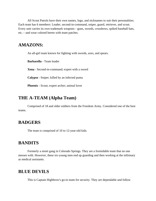All Scout Patrols have their own names, logo, and nicknames to suit their personalities. Each team has 6 members: Leader, second-in-command, sniper, guard, retriever, and scout. Every unit carries its own trademark weapons—guns, swords, crossbows, spiked baseball bats, etc.—and wear colored berets with team patches.

### **AMAZONS:**

An all-girl team known for fighting with swords, axes, and spears.

**Barbarella** - Team leader

**Xena** - Second-in-command; expert with a sword

**Calypso** - Sniper; killed by an infected puma

**Phoenix** - Scout; expert archer; animal lover

# **THE A-TEAM (Alpha Team)**

Comprised of 18 and older soldiers from the Freedom Army. Considered one of the best teams.

### **BADGERS**

The team is comprised of 10 to 12-year-old kids.

### **BANDITS**

Formerly a street gang in Colorado Springs. They are a formidable team that no one messes with. However, these six-young men end up guarding and then working at the infirmary as medical assistants.

### **BLUE DEVILS**

This is Captain Highbrow's go-to team for security. They are dependable and follow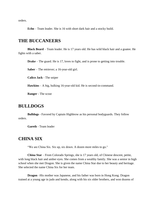orders.

**Echo** – Team leader. She is 16 with short dark hair and a stocky build.

#### **THE BUCCANEERS**

**Black Beard** – Team leader. He is 17 years old. He has wild black hair and a goatee. He fights with a saber.

**Drake** – The guard. He is 17, loves to fight, and is prone to getting into trouble.

**Saber** – The retriever; a 16-year-old girl.

**Calico Jack** - The sniper

**Hawkins** – A big, hulking 16-year-old kid. He is second-in-command.

**Ranger** - The scout

### **BULLDOGS**

**Bulldogs** - Favored by Captain Highbrow as his personal bodyguards. They follow orders.

**Gareth** - Team leader

#### **CHINA SIX**

"We are China Six. Six up, six down. A dozen more miles to go."

**China Star** – From Colorado Springs, she is 17 years old, of Chinese descent, petite, with long black hair and amber eyes. She comes from a wealthy family. She was a senior in high school when she met Dragon. She is given the name China Star due to her beauty and heritage. She selected the name China Six for her team.

**Dragon** –His mother was Japanese, and his father was born in Hong Kong. Dragon trained at a young age in judo and kendo, along with his six older brothers, and won dozens of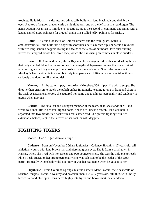trophies. He is 16, tall, handsome, and athletically built with long black hair and dark brown eyes. A tattoo of a green dragon curls up his right arm, and on the left arm is a red dragon. The name Dragon was given to him due to his tattoos. He is the second-in-command and fights with a katana named *Lóng* (Chinese for dragon) and a chisa called *Hèbi* (Chinese for snake).

**Lotus** – 17 years old; she is of Chinese descent and the team guard. Lotus is ambidextrous, tall, and built like a boy with short black hair. On each hip, she wears a revolver with two long-handled daggers resting in sheaths at the sides of her boots. Two dual hunting knives are strapped across her lower back, which she likes using on zombies in close quarters.

**Kirin** – Of Chinese descent, she is 16 years old, average-sized, with shoulder-length hair that is dyed cobalt blue. Her name comes from a mythical Japanese creature that she acquired after saving a small boy at camp from choking on a piece of candy. She is the team scout. Monkey is her identical twin sister, but only in appearance. Unlike her sister, she takes things seriously and does not like taking risks

**Monkey** – As the team sniper, she carries a Mossberg 308 sniper rifle with a scope. She dyes her hair crimson to match the polish on her fingernails, keeping it long in front and short in the back. A natural chatterbox, she acquired her name due to a hyper-personality and tendency to giggle when nervous.

**Cricket** – The smallest and youngest member of the team, at 15 she stands at 5'1 and wears four-inch lifts in her steel-tipped boots. She is of Chinese descent. Her black hair is separated into two braids, tied back with a red leather cord. She prefers fighting with two extendable batons, kept in the sleeves of her coat, or with daggers.

### **FIGHTING TIGERS**

Motto: 'Once a Tiger, Always a Tiger.'

**Cadence** – Born on November 30th (a Sagittarius), Cadence Sinclair is 17 years old, tall, athletically built, with long brown hair and piercing green eyes. She is from a small town in Kansas, where she lived with her parents and two younger sisters. She was the only one to reach Pike's Peak. Based on her strong personality, she was selected to be the leader of the scout patrol; ironically, Nightshadow did not know it was her real name when he gave it to her.

**Highbrow** – From Colorado Springs, his true name is Marc Powers, the eldest child of Senator Douglas Powers, a wealthy and powerful man. He is 17 years old, tall, thin, with unruly brown hair and blue eyes. Considered highly intelligent and book-smart, he attended a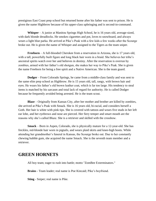prestigious East Coast prep school but returned home after his father was sent to prison. He is given the name Highbrow because of his upper-class upbringing and is second-in-command.

**Whisper** – A junior at Manitou Springs High School, he is 16 years old, average-sized, with dark blonde dreadlocks. He smokes cigarettes and pot, loves to snowboard, and always wears a light blue parka. He arrived at Pike's Peak with a few kids a few weeks after the Scourge broke out. He is given the name of Whisper and assigned to the Tigers as the team sniper.

**Freeborn** – A full-blooded Cherokee from a reservation in Arizona, she is 17 years old, with a tall, powerfully built figure and long black hair worn in a braid. She believes her tribe's ancestral spirits watch over her and believes in destiny. After the reservation is overrun by zombies, armed with her father's old shotgun, she makes her way to Pike's Peak. She is given the name Freeborn for being a free spirit and a Native American. She is the team guard.

**Dodger** – From Colorado Springs, he came from a middle-class family and was sent to the same elite prep school as Highbrow. He is 15 years old, tall, rangy, with brown hair and eyes. He wears his father's old brown leather coat, which is far too large. His tendency to steal items is matched by his sarcasm and total lack of regard for authority. He is called Dodger because he frequently avoided being arrested. He is the team scout.

**Blaze** – Originally from Kansas City, after her mother and brother are killed by zombies, she arrived at Pike's Peak with Smack. She is 16 years old, bi-racial, and considers herself a Goth. Her hair is white with pink tips. She is covered with tattoos and wears five studs in her left ear lobe, and her eyebrows and nose are pierced. Her fiery temper and smart mouth are the reasons why she's called Blaze. She is a retriever and skilled with the crossbow.

**Smack** – Born in Aspen, Colorado, she is physically mature for a 12-year-old. She has freckles, red-blonde hair worn in pigtails, and wears plaid skirts and knee-high boots. While attending her grandmother's funeral in Kansas, the Scourge broke out. Due to her constantly chewing bubble gum, she acquired the name Smack. She is the seventh team member and a retriever.

### **GREEN HORNETS**

All boy team; eager to rush into battle; motto "ZomBee Exterminators."

**Brains** - Team leader; real name is Poe Kincaid; Pike's boyfriend.

**Sting** - Sniper; real name is Pike.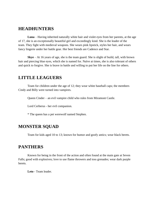### **HEADHUNTERS**

**Luna** – Having inherited naturally white hair and violet eyes from her parents, at the age of 17, she is an exceptionally beautiful girl and exceedingly kind. She is the leader of the team. They fight with medieval weapons. She wears pink lipstick, styles her hair, and wears fancy lingerie under her battle gear. Her best friends are Cadence and Star.

**Skye** – At 16 years of age, she is the team guard. She is slight of build, tall, with brown hair and piercing blue eyes, which she is named for. Naïve at times, she is also tolerant of others and quick to forgive. She is brave in battle and willing to put her life on the line for others.

### **LITTLE LEAGUERS**

Team for children under the age of 12; they wear white baseball caps; the members Cindy and Billy were turned into vampires.

Queen Cinder – an evil vampire child who rules from Miramont Castle.

Lord Cerberus - her evil companion.

\* The queen has a pet werewolf named Stephen.

### **MONSTER SQUAD**

Team for kids aged 10 to 13; known for humor and goofy antics; wear black berets.

### **PANTHERS**

Known for being in the front of the action and often found at the main gate at Seven Falls; good with explosives; love to use flame throwers and toss grenades; wear dark purple berets.

**Leto** - Team leader.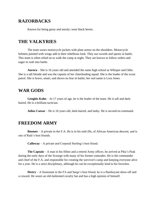# **RAZORBACKS**

Known for being gutsy and unruly; wear black berets.

### **THE VALKYRIES**

The team wears motorcycle jackets with plate armor on the shoulders. Motorcycle helmets painted with wings add to their rebellious look. They use swords and spears in battle. This team is often relied on to walk the camp at night. They are known to follow orders and eager to rush into battle.

**Aurora** – She is 16 years old and attended the same high school as Whisper and Odin. She is a tall blonde and was the captain of her cheerleading squad. She is the leader of the scout patrol. She is brave, smart, and shows no fear in battle; her real name is Lora Jones.

### **WAR GODS**

**Genghis Kahn** – At 17 years of age, he is the leader of the team. He is tall and darkhaired. He is a brilliant tactician.

**Julius Caesar** – He is 16 years old, dark-haired, and lanky. He is second-in-command.

### **FREEDOM ARMY**

**Boomer** – A private in the F.A. He is in his mid-20s, of African American descent, and is one of Rafe's best friends.

**Calloway** – A private and Corporal Sterling's best friend.

**The Captain** – A man in his fifties and a retired Army officer, he arrived at Pike's Peak during the early days of the Scourge with many of his former comrades. He is the commander and chief of the F.A. and responsible for creating the survivor's camp and keeping everyone alive for a year. He is a strict disciplinary, although he can be exceptionally kind to his favorites.

**Destry** – A lieutenant in the FA and Sarge's best friend, he is a flamboyant show-off and a coward. He wears an old-fashioned cavalry hat and has a high opinion of himself.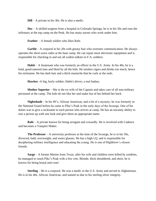**Dill** – A private in his 30s. He is also a medic.

**Doc** – A skilled surgeon from a hospital in Colorado Springs, he is in his 50s and runs the infirmary at the top camp on the Peak. He has many nurses who work under him.

**Feather** – A female soldier who likes Rafe.

**Garble** – A corporal in his 20s with greasy hair who oversees communication. He always operates the short-wave radio at the base camp. He can repair most electronic equipment and is responsible for checking in and out all walkie-talkies to F.A. soldiers.

**Habit** – A lieutenant who was formerly an officer in the U.S. Army. In his 40s, he is a kind, good-natured man and liked by all the kids. He smokes cigars and drinks too much, hence his nickname. He has dark hair and a thick mustache that he curls at the ends.

**Hawker** -A big, burly soldier; Habit's driver; a real badass.

**Mother Superior** – She is the ex-wife of the Captain and takes care of all non-military personnel at the camp. The kids do not like her and make fun of her behind her back.

**Nightshade** – In his 40's, African American, and a bit of a mystery, he was formerly in the National Guard before he came to Pike's Peak in the early days of the Scourge. One of his duties was to give a nickname to each person who arrives at camp. He has an uncanny ability to size a person up with one look and give them an appropriate name.

**Rafe** – A private known for being arrogant and cowardly. He is involved with Cadence and becomes a Vampire Maker.

**The Professor** – A university professor at the time of the Scourge, he is in his 50s, divorced, bald, overweight, and wears glasses. He has a high I.Q. and is responsible for deciphering military intelligence and educating the young. He is one of Highbrow's closest friends.

**Sarge** – A former Marine from Texas, after his wife and children were killed by zombies, he managed to reach Pike's Peak with a few vets. Blonde, thick shouldered, and short, he is known for being brutal and cruel.

**Sterling** – He is a corporal. He was a medic in the U.S. Army and served in Afghanistan. He is in his 40s, African American, and named so due to his sterling silver integrity.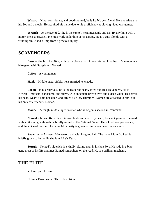**Wizard** – Kind, considerate, and good-natured, he is Rafe's best friend. He is a private in his 30s and a medic. He acquired his name due to his proficiency at playing video war games.

**Wrench** – At the age of 23, he is the camp's head mechanic and can fix anything with a motor. He is a private. Five kids work under him at his garage. He is a cute blonde with a winning smile and a limp from a previous injury.

#### **SCAVENGERS**

**Betsy** – She is in her 40's, with curly blonde hair, known for her kind heart. She rode in a bike gang with Sturgis and Nomad.

**Coffee** – A young man.

**Hank** – Middle-aged, sickly, he is married to Maude.

**Logan** – In his early 30s, he is the leader of nearly three hundred scavengers. He is African American, handsome, and suave, with chocolate brown eyes and a deep voice. He shaves his head, wears a gold necklace, and drives a yellow Hummer. Women are attracted to him, but his only true friend is Nomad.

**Maude** – A tough, middle-aged woman who is Logan's second-in-command.

**Nomad** – In his 50s, with a thick-set body and a scruffy beard, he spent years on the road with a bike gang, although he briefly served in the National Guard. He is kind, compassionate, and the voice of reason. The name Mr. Chatty is given to him when he arrives at camp.

**Savannah** – A sweet, 16-year-old girl with long red hair. The name Little Bo Peel is briefly given to her while she is at Pike's Peak.

**Sturgis** – Nomad's sidekick is a kindly, skinny man in his late 50's. He rode in a bike gang most of his life and met Nomad somewhere on the road. He is a brilliant mechanic.

### **THE ELITE**

Veteran patrol team.

**Uther** - Team leader; Thor's best friend.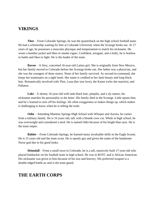### **VIKINGS**

**Thor** – From Colorado Springs, he was the quarterback on the high school football team. He had a scholarship waiting for him at Colorado University when the Scourge broke out. At 17 years of age, he possesses a muscular physique and temperament to match his nickname. He wears a bomber jacket and likes to smoke cigars. Confident, arrogant, and a bully, he is fearless in battle and likes to fight. He is the leader of the team.

**Raven** – A fiery, conceited 16-year-old Latino girl. She is originally from New Mexico, but her family moved to Colorado before the Scourge broke out. Her father was a physician, and she was the youngest of three sisters. None of her family survived. As second-in-command, she keeps her teammates on a tight leash. Her name is credited to her dark beauty and long black hair. Romantically involved with Thor, Luna (her true love), the Kaiser (who she marries), and Pallaton.

**Loki** – A skinny 16-year-old with lank black hair, pimples, and a sly nature, his nickname matches his personality to the letter. His family died in the Scourge. Little upsets him, and he's learned to turn off his feelings. He often exaggerates or makes things up, which makes it challenging to know when he is telling the truth.

**Odin** – Attending Manitou Springs High School with Whisper and Aurora, he comes from a military family. He is 16 years old, tall, with a blonde crew cut. While in high school, he was overweight and considered a nerd. He is named Odin because of his bright blue eyes. He is the team sniper.

**Baldor** – From Colorado Springs, he learned many invaluable skills in the Eagle Scouts. He is 15 years old and the team scout. He is openly gay and given the name of the handsome Norse god due to his good looks.

**Heimdall** – From a small town in Colorado, he is a tall, massively built 17-year-old who played linebacker on his football team in high school. He was in ROTC and is African American. His nickname was given to him because of his size and bravery. His preferred weapon is a double-edged battle-ax and is the team guard.

# **THE EARTH CORPS**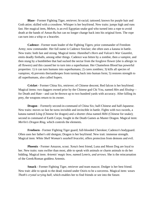**Blaze** - Former Fighting Tiger, retriever; bi-racial; tattooed; known for purple hair and Goth attire; skilled with a crossbow. Whisper is her boyfriend. New traits: jumps high and runs fast. Her magical item, *Mehen*, is an evil Egyptian snake god who turned into a rope to avoid death at the hands of Amun-Ra but can no longer change back into his original form. The rope can turn into a whip or a bracelet.

**Cadence** - Former team leader of the Fighting Tigers; prior commander of Freedom Army; now commander. Her full name is Cadence Sinclair; she often uses a katana in battle. New traits: both fast and strong. Magical items: *Hannibal's Horn* and *Vulcan's War Gauntlet*, emits deadly fireballs, among other things. Cadence was bitten by a zombie, then a vampire, and then stung by a bumblebee that had sucked the nectar from the foxglove flower (she is allergic to all flowers) and this caused her to turn into a superhuman. Her Chameleon Blood has powerful properties: 1) it can turn humans into superhumans; 2) cures zombies; 3) kills all species of vampires; 4) prevents therianthropes from turning back into human form; 5) restores strength to all superhumans, also called Supers.

**Cricket** - Former China Six, retriever; of Chinese descent; Red falcon is her boyfriend. Magical items: two daggers owned prior by the Chinese god Chi You, named *Hèn* and *Sîwáng* for Death and Hate—and can be thrown up to two hundred yards with accuracy. After killing its prey, the weapons return to its owner.

**Dragon** – Formerly second-in-command of China Six; half-Chinese and half-Japanese. New traits: moves so fast he turns invisible and invincible in battle. Fights with two swords, a katana named *Lóng* (Chinese for dragon) and a shorter chisa named *Hèbi* (Chinese for snake); second in command of Earth Corps; fought in the Death Games as Master Dragon. Magical item: *Merlin's Dragon Ring*, which controls the elements.

**Freeborn** - Former Fighting Tiger guard; full-blooded Cherokee; Cadence's bodyguard. Often uses her father's old shotgun; Dragon is her boyfriend. New trait: immense strength. Magical item: *White Shell Woman's seashell bracelet*, offers protection from demons and evil.

**Phoenix** - Former Amazon, scout. Xena's best friend, Luna and Moon Dog are loyal to her. New traits: runs swifter than most, able to speak with animals or charm animals to do her bidding. Magical item: *Artemis' magic bow, named Lemris, and arrows*. She is the reincarnation of the Greek/Roman goddess Artemis.

**Smack** - Former Fighting Tiger, retriever and team mascot. Dodger is her best friend. New trait: able to speak to the dead; trained under Osiris to be a sorceress. Magical item: wears *Thoth's crystal scrying ball*, which enables her to find friends or see into the future.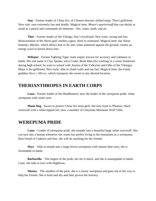**Star** - Former leader of China Six; of Chinese descent; skilled ninja; Thor's girlfriend. New trait: runs extremely fast and deadly. Magical item: *Moses's quarterstaff* that can shrink as small as a pencil and commands all elements—fire, water, earth, and air.

**Thor** - Former leader of the Vikings; Star's boyfriend. New traits: strong and fast. Reincarnation of the Norse god; smokes cigars; third in command. Magical item: has Norse hammer, *Mjolnir*, which allows him to fly and, when slammed against the ground, creates an energy wave to knock down foes.

**Whisper** - Former Fighting Tiger; team sniper; known for accuracy and calmness in battle. His real name is Clay Speaks, a/k/a Comic Book Man (for working in a comic bookstore during high school; he went to school with Aurora of the Valkyries and Odin of the Vikings). Blaze is his girlfriend. New traits: able to climb walls and run fast. Magical item: the Greek goddess *Hera's Mirror*, which transports the owner to any desired location.

#### **THERIANTHROPES IN EARTH CORPS**

**Luna** - Former leader of the Headhunters; now the leader of the werepuma pride; white werepuma with violet eyes.

**Moon Dog** - Sworn to protect China Six ninja girls, but now loyal to Phoenix; black werewolf with a white-tipped tail; also, a member of Cheyenne Mountain Wolf Tribe.

### **WEREPUMA PRIDE**

**Luna** – Leader of werepuma pride, she morphs into a beautiful large white werewolf. She can turn into a human whenever she wants but prefers living in the mountains as a werepuma. Best friend of Cadence and Star, she will do anything for her friends.

**Skye** – Able to morph into a large brown werepuma with intense blue eyes, she is formidable in battle.

**Barbarella** – The largest of the pride, her fur is black, and she is unstoppable in battle. Later, she falls in love with Highbrow.

**Sheena** – The smallest of the pack, she is a tawny werepuma and goes out of her way to help her friends. She is kind and shy and later proves her bravery.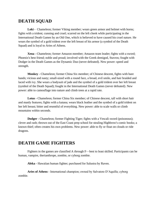# **DEATH SQUAD**

Loki - Chameleon; former Viking member; wears green armor and helmet with horns; fights with a trident; cunning and cruel; scarred on the left cheek while participating in the International Death Games by an Old One, which is believed to have caused his cruel nature. He wears the symbol of a gold trident over the left breast of his armor (a symbol of the Death Squad) and is loyal to Aries of Athens.

**Xena** - Chameleon; former Amazon member; Amazon team leader; fights with a sword; Phoenix's best friend; noble and proud; involved with the Greek demigod, Stavros; fought with Dodger in the Death Games as the Dynamic Duo (never defeated). New power: speed and strength.

**Monkey** - Chameleon; former China Six member; of Chinese descent, fights with bare hands; vicious and nasty; small-sized with a round face, a broad, evil smile, and hair braided and laced with ivy. She wears a bodysuit of jade and the symbol of a gold trident over her left breast (symbol of the Death Squad); fought in the International Death Games (never defeated). New power: able to camouflage into nature and climb trees at a rapid rate.

**Lotus** - Chameleon; former China Six member; of Chinese descent, tall with short hair and manly features; fights with a katana; wears black leather and the symbol of a gold trident on her left breast; bitter and resentful of everything. New power: able to scale walls or climb mountains within seconds.

**Dodger** - Chameleon; former Fighting Tiger; fights with a Vescali sword (poisonous); clever and rash; thrown out of the East Coast prep school for stealing Highbrow's comic books; a known thief; often creates his own problems. New power: able to fly or float on clouds or ride dragons.

# **DEATH GAME FIGHTERS**

Fighters in the games are classified A through F—best to least skilled. Participants can be human, vampire, therianthrope, zombie, or cyborg zombie.

**Aleka** - Hawaiian human fighter; purchased for Salustra by Raven.

**Aries of Athens** - International champion; owned by Salvatore D'Aquilla; cyborg zombie.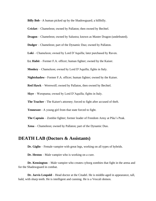**Billy Bob** - A human picked up by the Shadowguard; a hillbilly.

**Cricket** – Chameleon; owned by Pallaton; then owned by Bechtel.

**Dragon** – Chameleon; owned by Salustra; known as Master Dragon (undefeated).

**Dodger** – Chameleon; part of the Dynamic Duo; owned by Pallaton.

**Loki** – Chameleon; owned by Lord D'Aquilla; later purchased by Raven.

**Lt. Habit** – Former F.A. officer; human fighter; owned by the Kaiser.

**Monkey** – Chameleon; owned by Lord D'Aquilla; fights in Italy.

**Nightshadow** - Former F.A. officer; human fighter; owned by the Kaiser.

**Red Hawk** – Werewolf; owned by Pallaton, then owned by Bechtel.

**Skye** – Werepuma; owned by Lord D'Aquilla; fights in Italy.

**The Teacher** - The Kaiser's attorney; forced to fight after accused of theft.

**Tennessee** - A young girl from that state forced to fight.

**The Captain** – Zombie fighter; former leader of Freedom Army at Pike's Peak.

**Xena** – Chameleon; owned by Pallaton; part of the Dynamic Duo.

#### **DEATH LAB (Doctors & Assistants)**

**Dr. Giglio** – Female vampire with great legs, working on all types of hybrids.

**Dr. Heston** – Male vampire who is working on a cure.

**Dr. Kensington** – Male vampire who creates cyborg zombies that fight in the arena and for the Shadowguard in combat.

**Dr. Jarvis Leopold** – Head doctor at the Citadel. He is middle-aged in appearance, tall, bald, with sharp teeth. He is intelligent and cunning. He is a Vescali demon.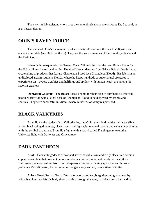**Trotsky** – A lab assistant who shares the same physical characteristics as Dr. Leopold; he is a Vescali demon.

### **ODIN'S RAVEN FORCE**

The name of Odin's massive army of supernatural creatures, the Black Valkyries, and ancient immortals (see Dark Pantheon). They are the sworn enemies of the Blood Syndicate and the Earth Corps.

When Odin masqueraded as General Owen Winters, he used the term Raven Force for the U.S. military forces loyal to him. He hired Vescali demons from Prince Balan's Death Lab to create a line of products that feature Chameleon Blood (see Chameleon Blood). His lab is in an undisclosed area in southern Florida, where he keeps hundreds of supernatural creatures to experiment on—cyborg zombies and halflings and spiders with human heads, are among his favorite creations.

**Operation Colossus** - The Raven Force's name for their plan to eliminate all infected people worldwide with a lethal dose of Chameleon Blood to be dispersed by drones and shuttles. They were successful in Miami, where hundreds of vampires perished.

### **BLACK VALKYRIES**

Brunhilda is the leader of six Valkyries loyal to Odin; the shield maidens all wear silver armor, black-winged helmets, black capes, and fight with magical swords and carry silver shields with the symbol of a raven. Brunhilda fights with a sword called *Eveningsong*; two other Valkyries fight with *Darkness* and *Gravedigger*.

### **DARK PANTHEON**

**Anat** - Canaanite goddess of war and strife; has blue skin and curly black hair; wears a copper breastplate that does not denote gender, a silver scimitar, and paints her face like a Halloween skeleton; suffers from multiple-personalities after having spent the last thousand years in a Vescali prison; her expression changes every second; uses a silver scimitar.

**Aries** - Greek/Roman God of War; a type of zombie cyborg after being poisoned by a deadly spider that left his body slowly rotting through the ages; has black curly hair and red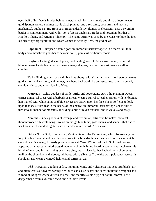eyes; half of his face is hidden behind a metal mask; his jaw is made out of machinery; wears gold Spartan armor, a helmet that is black plumed, and a red tunic; both arms and legs are mechanical, but he can fire from each finger a death ray, flames, or electricity; uses a sword in battle; in joint command with Odin; son of Zeus; uncles are Hades and Poseidon; brother of Apollo, Athena, and Artemis (Phoenix). The name Aries was used by the Kaiser to hide the fact his prized cyborg fighter in the Death Games is actually Ares, the god of war.

**Baphomet** - European Satanic god; an immortal therianthrope with a man's tall, thin body and a monstrous goat-head; devours souls; pure evil, without remorse.

**Brighid** - Celtic goddess of poetry and healing; one of Odin's lover; a tall, beautiful blonde; wears Celtic leather armor; uses a magical spear; can be compassionate as well as cunning.

**Kali** - Hindu goddess of death; black as ebony, with six arms and six gold swords; wears gold armor, a black tunic, and helmet; legs bend backward like an insect; teeth are sharpened; cannibal; fierce and cruel; loyal to Mars.

**Morrigan** - Celtic goddess of battle, strife, and sovereignty AKA the Phantom Queen; carries a magical spear with a barbed spearhead; wears a fur robe, leather armor, with her braided hair matted with white paint, and blue stripes are drawn upon her face; she is so fierce to look upon that she strikes fear in the hearts of the enemy; an immortal therianthrope, she is able to turn into all manner of monsters, including a pile of raven feathers; she is vicious and nasty.

**Nemesis** - Greek goddess of revenge and retribution; attractive brunette; immortal therianthrope with white wings; wears an indigo blue tunic, gold chains, and sandals that rise to her knees; a left-handed fighter, uses a slender silver sword; Aries's lover.

**Odin** - Norse God, commander; Magical item is the Raven Ring, which freezes anyone he points his finger at and can blast anyone with a blue death beam and a silver bracelet which can subdue his enemy; formerly posed as General Owen Winters of the U.S. Armed Forces; appeared as a muscular middle-aged man with silver hair and beard; wears an eye patch over his blind left eye, and his remaining eye is ice blue; wears black leather hauberk with silver plate mail on the shoulders and elbows, tall boots with a silver cuff, a white wolf pelt hangs across his shoulder; also wears a winged-helmet and carries an ax.

**Pélé** - Hawaiian goddess of fire, lightning, wind, and volcanoes; has beautiful black hair and often wears a flowered sarong; her touch can cause death; she cares about the demigods and is fond of Dodger; whenever Pélé is upset, she manifests some type of natural storm; uses a dagger made from a volcanic rock; one of Odin's lovers.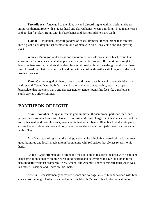**Tezcatlipoca** - Aztec god of the night sky and discord; fights with an obsidian dagger; immortal therianthrope with a jaguar-head and clawed hands; wears a midnight blue feather cape and golden flax skirt; fights with his bare hands and has formidable sharp teeth.

**Tiamat** - Babylonian [dragon] goddess of chaos; immortal therianthrope that can turn into a giant black dragon that breaths fire or a woman with black, scaly skin and red, glowing eyes.

**Whiro** - Maóri god of darkness and embodiment of evil; turns into a black cloud that consumes all it touches; cannibal; appears tall and muscular; wears a flax skirt and a ringlet of black feathers worn around his shoulders; face is tattooed with intricate designs and bones hang from his earlobes; hair is pulled back and tied with a cord, with feathers sticking out of the back; needs no weapon.

**Yam -** Canaanite god of chaos, storms, and disasters; has blue skin and curly black hair and seven different faces, both female and male, and none are attractive; wears a copper breastplate that matches Anat's and denotes neither gender; paints his face like a Halloween skull; carries a silver scimitar.

# **PANTHEON OF LIGHT**

**Ahau Chamahez -** Mayan medicine god; immortal therianthrope: part-man, part-bird; possesses a muscular frame with leopard print skin and claws. Large black feathers sprout out the top of his skull and down his back; wears white feather armbands. Blue, black, and white paint covers the left side of his face and body; wears a necklace made from jade quartz; carries a club with spikes.

**Ao** - Maori god of light and the living; wears white loincloth; covered with tribal tattoos; good-humored and loyal; magical item: boomerang with red stripes that always returns to his hand.

**Apollo** - Greek/Roman god of light and the sun; able to resurrect the dead with his touch; handsome, blonde man with blue eyes; good-hearted and determined to save the human race; uses modern weapons; brother to Aries, Athena, and Artemis (Phoenix reincarnated); Zeus was his father; Poseidon and Hades are his uncles.

**Athena** - Greek/Roman goddess of wisdom and courage; a stern blonde woman with blue eyes; carries a magical silver spear and silver shield with Medusa's head; able to heal minor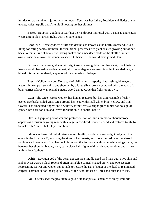injuries or create minor injuries with her touch; Zeus was her father; Poseidon and Hades are her uncles; Aries, Apollo and Artemis (Phoenix) are her siblings.

**Bastet** - Egyptian goddess of warfare; therianthrope; immortal with a cathead and claws; wears a tight black dress; fights with her bare hands.

**Coatlicue -** Aztec goddess of life and death; also known as the Earth Monster due to a liking for eating babies; immortal therianthrope; possesses two giant snakes growing out of her back. Wears a skirt of smaller withering snakes and a necklace made of the skulls of infants; owes Poseidon a favor that remains a secret. Otherwise, she would have joined Odin.

**Durga** - Hindu war goddess with eight arms; wears gold armor; has sleek, black hair that hangs straight beneath a golden helmet; all sizes of daggers are worn in a thick jeweled belt; a blue dot is on her forehead, a symbol of the all-seeing third eye.

**Freyr** - Yellow-bearded Norse god of virility and prosperity; has flashing blue eyes; wears a blue cape fastened to one shoulder by a large silver broach engraved with the head of a boar; carries a large war ax and a magic sword called *Grim* that fights on its own.

**Gaia** - The Greek Great Mother; has human features, but her skin resembles freshly peeled tree bark; coiled vines wrap around her head with small white, blue, yellow, and pink flowers; has elongated fingers and a willowy form; wears a bright green tunic; has no sign of gender; has bark for skin and leaves for hair; able to control nature.

**Horus** - Egyptian god of war and protection; son of Osiris; immortal therianthrope; appears as a muscular young man with a large falcon-head; formerly dead and restored to life by Smack with Anubis' help; loyal and brave.

**Ishtar** - A beautiful Babylonian war and fertility goddess; wears a tight red gown that opens in the front in a V, exposing the sides of her breasts, and has a pierced navel. A starred rainbow necklace hangs from her neck; immortal therianthrope with large, white wings that grow between her shoulder blades; long, curly black hair; fights with an elegant longbow and arrows with yellow feathers

**Osiris** - Egyptian god of the dead; appears as a middle-aged bald man with olive skin and amber eyes; wears a black robe and often has a blue conical-shaped crown and two scepters representing Lower and Upper Egypt; able to restore the Ka's (souls) of the dead to reanimated corpses; commander of the Egyptian army of the dead; father of Horus and husband to Isis.

**Pan** - Greek satyr; magical item: a gold flute that puts all enemies to sleep; immortal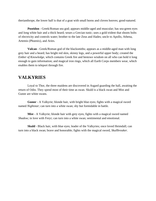therianthrope, the lower half is that of a goat with small horns and cloven hooves; good-natured.

**Poseidon** - Greek/Roman sea god; appears middle-aged and muscular; has sea-green eyes and long white hair and a thick beard; wears a Grecian tunic; uses a gold trident that shoots bolts of electricity and controls water; brother to the late Zeus and Hades; uncle to Apollo, Athena, Artemis (Phoenix), and Aries.

**Vulcan** - Greek/Roman god of the blacksmiths; appears as a middle-aged man with long grey hair and a beard; has bright red skin, skinny legs, and a powerful upper body; created the *Ember of Knowledge*, which contains Greek fire and bestows wisdom on all who can hold it long enough to gain information; and magical iron rings, which all Earth Corps members wear, which enables them to teleport through fire.

#### **VALKYRIES**

Loyal to Thor, the three maidens are discovered in Asgard guarding the hall, awaiting the return of Odin. They spend most of their time as swan. Skuld is a black swan and Mist and Gunnr are white swans.

**Gunnr** - A Valkyrie; blonde hair, with bright blue eyes; fights with a magical sword named *Nightstar*; can turn into a white swan; shy but formidable in battle.

**Mist** - A Valkyrie; blonde hair with grey eyes; fights with a magical sword named *Shadow*; in love with Freyr; can turn into a white swan; sentimental and emotional.

**Skuld** - Black hair, with blue eyes; leader of the Valkyries; once loved Heimdall; can turn into a black swan; brave and honorable; fights with the magical sword, *Skullbreaker*.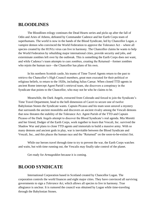### **BLOODLINES**

The Bloodlines trilogy continues the Dead Hearts series and picks up after the fall of Odin and Aries of Athens, defeated by Commander Cadence and her Earth Corps team of superhumans. The world is now in the hands of the Blood Syndicate, led by Chancellor Logan, a vampire demon who convinced the World Federation to approve the Tolerance Act – where all species created by the H1N1z virus can live in harmony. The Chancellor claims he wants to help the World Federation by rebuilding major international cities, provide security and jobs, and exterminate zombies left over by the outbreak. This is something the Earth Corps does not want, and while Cadence's team attempts to cure zombies, creating the Returned—former zombies who rejoin the human race—the Chancellor has plans of his own.

In his northern Scottish castle, his teams of Time Travel Agents return to the past to retrieve the Chancellor's High Council members, great men executed for their political or religious beliefs, to return to the 1920s, including Julius Caesar. When cloned TTD agents in ancient Rome intercept Agent Parish's retrieval team, she discovers a conspiracy in the Syndicate that points to the Chancellor, who may not be who he claims to be.

Meanwhile, the Dark Angels, extracted from Colorado and forced to join the Syndicate's Time Travel Department, head to the hell dimension of Caceri to secure one of twelve Babylonian Stones the Syndicate wants. Captain Picasso and his team soon unravel a mystery that surrounds the ancient monoliths and discovers an ancient rivalry among the Vescali demons that now threaten the stability of the Tolerance Act. Agent Parish of the TTD and Captain Picasso of the Dark Angels attempt to discover the Blood Syndicate's real agenda. Mia Moretti and her friend, Dodger of the Earth Corps, work together to learn that Vescali, Inc. survived the Shadow War and plans to clone TTD agents and immortals to build a massive army. With so many demons and ancient gods in play, war is inevitable between the Blood Syndicate and Vescali, Inc., and this places the human race and the "Returned" on the soon-to-be-extinct list.

While our heroes travel through time to try to prevent the war, the Earth Corps watches and waits, but with time running out, the Vescalis may finally take control of the planet.

Get ready for *Armageddon* because it is coming.

# **BLOOD SYNDICATE**

International Corporation based in Scotland created by Chancellor Logan. The corporation controls the world finances and eight major cities. They have convinced all surviving governments to sign a *Tolerance Act*, which allows all species to live in harmony. True allegiance is unclear. It is rumored the council was obtained by Logan while time-traveling through the Babylonian Stones.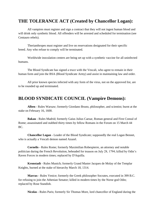# **THE TOLERANCE ACT (Created by Chancellor Logan):**

All vampires must register and sign a contract that they will not ingest human blood and will drink only synthetic blood. All offenders will be arrested and scheduled for termination (see Centauro rebels).

Therianthropes must register and live on reservations designated for their specific breed. Any who refuse to comply will be terminated.

Worldwide inoculation centers are being set up with a synthetic vaccine for all uninfected humans.

The Blood Syndicate has signed a truce with the Vescali, who agree to remain in their human form and join the BSA (Blood Syndicate Army) and assist in maintaining law and order.

All prior known species infected with any form of the virus, not on the approved list, are to be rounded up and terminated.

### **BLOOD SYNDICATE COUNCIL (Vampire Demons):**

**Alben** - Rules Warsaw; formerly Giordano Bruno, philosopher, and scientist; burnt at the stake on February 16, 1600.

**Bakau** - Rules Madrid; formerly Gaius Julius Caesar, Roman general and First Consul of Rome; assassinated and stabbed thirty times by fellow Romans in the Forum on 15 March 44 BC.

**Chancellor Logan** - Leader of the Blood Syndicate; supposedly the real Logan Bennet, who is actually a Vescali demon named Azazel.

**Cornelis** - Rules Rome; formerly Maximilian Robespierre, an attorney and notable politician during the French Revolution, beheaded for treason on July 28, 1794; killed by Odin's Raven Forces in modern times; replaced by D'Aquilla.

**Kronstadt** - Rules Munich; formerly Grand Master Jacques de Molay of the Templar Knights, burned at the stake of hierarchy March 18, 1314.

**Marcus** - Rules Venice; formerly the Greek philosopher Socrates, executed in 399 B.C. for refusing to join the Athenian Senator; killed in modern times by the Norse god Odin; replaced by Rose Standish.

**Nicolas** - Rules Paris; formerly Sir Thomas More, lord chancellor of England during the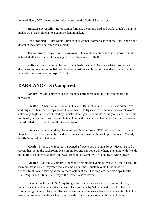reign of Henry VIII, beheaded for refusing to take the Oath of Supremacy.

**Salvatore D'Aquilla** - Rules Rome; formerly a vampire lord and Dark Angel; a vampire maker who has evolved into a vampire demon maker.

**Rose Standish** - Rules Miami; first councilwoman; former leader of the Dark Angels and doctor at the survivors' camp in Colorado.

**Toven** - Rules Tokyo; formerly Ankokuji Ekei, a 16th-century Japanese warrior-monk beheaded after the Battle of the *Sekigahara* on November 6, 1600.

**Zoltan** - Rules Belgrade; formerly Dr. Charles Richard Drew, an African American doctor and researcher in the field of blood transfusions and blood storage; died after sustaining wounds from a car crash on April 1, 1950.

### **DARK ANGELS (Vampires):**

**Ginger** – Micah's girlfriend; a Wiccan; has bright red hair and a low tolerance for teenagers.

**Lachlan** – A handsome Irishman in his late 20s, he stands over 6'4 with solid muscles and bright red hair that sweeps across his forehead. He fights with his family's ancestral sword called a galloglass. He was turned by Salustra. Intelligent, honorable, courageous, and sometimes foolhardy, he is a fierce warrior and falls in love with Cadence. Vulcan gives Lachlan a magical sword called *Ferax* that turns all it touches to ash.

**Lenora** - Logan's mother; clever and resilient; a former NYC police officer; married to Stan Parish but had a one-night stand with the Kaiser, resulting in her imprisonment in Caceri; briefly involved with Pallaton.

**Micah** – Prior to the Scourge, he owned a flower shop in Santa Fe. A Wiccan, he had a coven that met in the back room. He is in his 30s and has bone-white hair. Traveling with friends to the Rockies, he met Salustra and was turned into a vampire. He is involved with Ginger.

**Pallaton** - Navajo; a Vampire Maker and first modern vampire created by the Kaiser. His twin brother is Chief Chayton, who leads the Cheyenne Mountain Wolf Tribe (modern werewolves). While serving as the former Captain of the Shadowguard, he was a spy for the Dark Angels and ultimately betrayed the Kaiser to save Raven.

**Picasso** – A former U.S. Army Ranger with battle experience. He is in his late 30s, of Italian descent, and is the military advisor. He was made by Salustra, and like all of her offspring, has glowing violet eyes. His head is shaven, and he wears fancy business suits. He holds two silver revolvers under each arm, and inside of his coat are several throwing knives.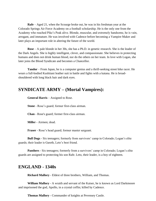**Rafe** – Aged 21, when the Scourge broke out, he was in his freshman year at the Colorado Springs Air Force Academy on a football scholarship. He is the only one from the Academy who reached Pike's Peak alive. Blonde, muscular, and extremely handsome, he is vain, arrogant, and immature. He was involved with Cadence before becoming a Vampire Maker and later plays an important role in altering the future of the world.

**Rose** – A pale blonde in her 30s, she has a Ph.D. in genetic research. She is the leader of the Dark Angels. She is highly intelligent, clever, and compassionate. She believes in protecting humans and does not drink human blood, nor do the others on her team. In love with Logan, she later joins the Blood Syndicate and becomes a Chancellor.

**Tandor** – From Japan, he is a computer genius and a thrill-seeking street bike racer. He wears a full-bodied Kushitani leather suit in battle and fights with a katana. He is broadshouldered with long black hair and dark eyes.

### **SYNDICATE ARMY – (Mortal Vampires):**

**General Harris** – Assigned to Rose.

**Stone** - Rose's guard; former first-class airman.

**Chan** - Rose's guard; former first-class airman.

**Miller** - Airmen; dead.

**Fraser** - Rose's head guard; former master sergeant.

**Bull Dogs** - Six teenagers; formerly from survivors' camp in Colorado; Logan's elite guards; their leader is Gareth, Leto's best friend.

**Panthers** - Six teenagers; formerly from a survivors' camp in Colorado; Logan's elite guards are assigned to protecting his son Rafe. Leto, their leader, is a boy of eighteen.

### **ENGLAND - 1340s**

**Richard Mallory** - Eldest of three brothers, William, and Thomas.

**William Mallory** - A wraith and servant of the Kaiser, he is known as Lord Darkmoore and imprisoned the god, Apollo, in a crystal coffin; killed by Cadence.

**Thomas Mallory** - Commander of knights at Pevensey Castle.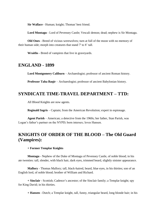**Sir Wallace** - Human; knight; Thomas' best friend.

**Lord Montagu** - Lord of Pevensey Castle; Vescali demon; dead; nephew is Sir Montagu.

**Old Ones** - Breed of vicious werewolves; turn at full of the moon with no memory of their human side; morph into creatures that stand 7' to 8' tall.

**Wraiths** - Breed of vampires that live in graveyards.

#### **ENGLAND - 1899**

**Lord Montgomery Caliburn** – Archaeologist; professor of ancient Roman history.

**Professor Taha Baqir** – Archaeologist; professor of ancient Babylonian history.

#### **SYNDICATE TIME-TRAVEL DEPARTMENT – TTD:**

All Blood Knights are now agents.

**Reginald Ingris** – Captain; from the American Revolution; expert in espionage.

**Agent Parish** – American; a detective from the 1960s; her father, Stan Parish, was Logan's father's partner on the NYPD; born intersex; loves Hansen.

# **KNIGHTS OF ORDER OF THE BLOOD – The Old Guard (Vampires):**

#### **+ Former Templar Knights**

**Montagu** - Nephew of the Duke of Montagu of Pevensey Castle, of noble blood; in his ate twenties: tall, slender, with black hair, dark eyes, trimmed beard, slightly sinister appearance.

**Mallory** - Thomas Mallory; tall, black-haired, beard, blue eyes, in his thirties; son of an English lord, of noble blood; brother of William and Richard.

**+ Sinclair** - Scottish; Cadence's ancestor; of the Sinclair family; a Templar knight; spy for King David; in his thirties.

**+ Hansen** - Dutch; a Templar knight, tall, funny, triangular beard, long blonde hair; in his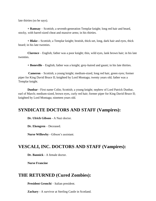late thirties (so he says).

**+ Ramsay** – Scottish; a seventh-generation Templar knight; long red hair and beard, stocky, with barrel-sized cheat and massive arms; in his thirties.

**+ Blake –** Scottish; a Templar knight; brutish, thick-set, long, dark hair and eyes, thick beard; in his late twenties.

**Clarence** – English; father was a poor knight; thin, wild eyes, lank brown hair; in his late twenties.

**+ Boneville** – English; father was a knight; grey-haired and gaunt; in his late thirties.

**Cameron** – Scottish; a young knight; medium-sized, long red hair, green eyes; former piper for King David Bruce II; knighted by Lord Montagu; twenty years old; father was a Templar knight.

**Dunbar** - First name Colin; Scottish; a young knight; nephew of Lord Patrick Dunbar, earl of March; medium-sized, brown eyes, curly red hair; former piper for King David Bruce II; knighted by Lord Montagu; nineteen years old.

### **SYNDICATE DOCTORS AND STAFF (Vampires):**

**Dr. Ulrich Gibson** - A Nazi doctor.

**Dr. Ekengren** – Deceased.

**Nurse Willowby** - Gibson's assistant.

### **VESCALI, INC. DOCTORS AND STAFF (Vampires):**

**Dr. Bannick** - A female doctor.

**Nurse Francine**

### **THE RETURNED (Cured Zombies):**

**President Gronchi** – Italian president.

**Zachary** - A survivor at Sterling Castle in Scotland.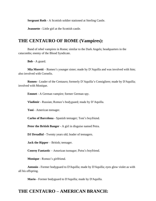**Sergeant Roth** - A Scottish soldier stationed at Sterling Castle.

**Jeannette** - Little girl at the Scottish castle.

### **THE CENTAURO OF ROME (Vampires):**

Band of rebel vampires in Rome; similar to the Dark Angels; headquarters in the catacombs; enemy of the Blood Syndicate.

**Bob** - A guard.

**Mia Moretti** – Romeo's younger sister; made by D'Aquilla and was involved with him; also involved with Cornelis.

**Romeo** - Leader of the Centauro; formerly D'Aquilla's Consigliere; made by D'Aquilla; involved with Monique.

**Emmet** - A German vampire; former German spy.

**Vladimir** - Russian; Romeo's bodyguard; made by D'Aquilla.

**Toni** - American teenager.

**Carlos of Barcelona** - Spanish teenager; Toni's boyfriend.

**Peter the British Banger** - A girl in disguise named Petra.

**DJ Dreadful** - Twenty years old; leader of teenagers.

**Jack the Ripper** – British; teenager.

**Conroy Fantastic** – American teenager; Petra's boyfriend.

**Monique** - Romeo's girlfriend.

**Antonio** - Former bodyguard to D'Aquilla; made by D'Aquilla; eyes glow violet as with all his offspring.

**Mario** - Former bodyguard to D'Aquilla; made by D'Aquilla.

### **THE CENTAURO – AMERICAN BRANCH:**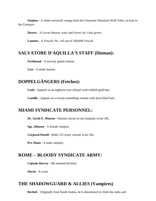**Stephen** - A white werewolf; omega from the Cheyenne Mountain Wolf Tribe; on loan to the Centauro.

**Deaver** - A Luvart demon; witty and clever; he's also *green*.

**Lamone** - A Vescali; No. 145 out of 100,000 Vescali.

#### **SALVATORE D'AQUILLA'S STAFF (Human):**

**Ferdinand** - A security guard; human.

**Liza** - A maid; human.

# **DOPPELGÄNGERS (Fetches):**

**Luda** - Appears as an eighteen-year-old girl with reddish-gold hair.

**Camille** - Appears as a twenty-something woman with short black hair.

### **MIAMI SYNDICATE PERSONNEL:**

**Dr. Sarah E. Monroe** - Human; doctor at city hospital; in her 30s.

**Sgt. Johnson** - A female vampire.

**Corporal Postell** - Male; US Army veteran in his 30s.

**Pvt. Dunn** - A male vampire.

### **ROME – BLOODY SYNDICATE ARMY:**

**Captain Harvey** - 9th armored division.

**Doran** - A scout.

# **THE SHADOWGUARD & ALLIES (Vampires)**

**Bechtel** – Originally from Saudi Arabia, he is determined to climb the ranks and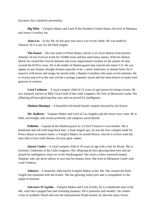becomes; has a dualistic personality.

**Big Mike** – Vampire Maker and Lord of the Northern United States. He lives in Montana and wears a cowboy hat.

**Jean-Luc** – In his 30s, he has grey hair and a scar on his cheek. He was made by Salustra; he is a spy for the Dark Angels.

**The Kaiser** – His true name is Prince Balan, and he is an Axon demon from ancient Atlantis; he has lived on Earth for 10,000 years and has used many names. With his demon blood, he created the Vescali demons and every supernatural creature on the planet; he also created the H1N1z virus. He is the leader of Shadowguard and controls the entire U.S. He can appear as any human, though chooses typically to be a short, bald man; in demon form, he is massive with horns and wings; he travels with a Shadow Guardian who spies on his enemies. He is vicious and evil to the core yet has a strange romantic streak and has been known to make kind gestures to women.

**Lord Cerberus** – A royal vampire child of 12 years of age known for being vicious. He was formerly known as Billy Goat Gruff of the Little Leaguers. He lives at Miramont Castle. His offspring all have glowing blue eyes and are prized for intelligence.

**Madam Monique** – A beautiful red-haired female vampire favored by the Kaiser.

**Mr. Rafferty** – Vampire Maker and Lord of Los Angeles and the entire west coast. He is bald, overweight, and sweats profusely (all vampires sweat blood).

**Pallaton** – Captain of the Shadowguard, he is Chief Chayton's twin brother. He is handsome and tall with long black hair; a Dark Angels spy; he was the first vampire made by Prince Balan in modern times; a Vampire Maker, he turned Raven, who he is in love with but later falls in love with Sheena; his eyes glow amber.

**Queen Cinder** – A royal vampire child of 10 years of age with a lust for blood. She is formerly Cinderella of the Little Leaguers. Her offspring all have glowing blue eyes and are prized for intelligence; most are in the Shadowguard. She owns a white werewolf named Stephan, who she never allows to turn into his human form. She lives at Miramont Castle with Lord Cerberus.

**Salustra** – A beautiful, dark-haired Vampire Maker in her 30s. She created the Dark Angels but remained with the Kaiser. She has glowing violet eyes and is sympathetic to the plight of humans.

**Salvatore D'Aquilla** – Vampire Maker and Lord of Italy, he is a handsome man in his 40s, with salt-n-pepper hair and charming manners. He is powerful and wealthy. He creates a line of synthetic blood and runs the International Death Games; he also has many lovers.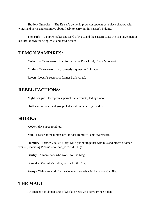**Shadow Guardian** – The Kaiser's demonic protector appears as a black shadow with wings and horns and can move about freely to carry out its master's bidding.

**The Turk** – Vampire maker and Lord of NYC and the eastern coast. He is a large man in his 40s, known for being cruel and hard-headed.

#### **DEMON VAMPIRES:**

**Cerberus** - Ten-year-old boy; formerly the Dark Lord; Cinder's consort.

**Cinder** - Ten-year-old girl; formerly a queen in Colorado.

**Raven** - Logan's secretary; former Dark Angel.

### **REBEL FACTIONS:**

**Night League** – European supernatural terrorists; led by Lobo.

**Shifters** - International group of shapeshifters; led by Shadow.

### **SHIRKA**

Modern-day super zombies.

**Milo** - Leader of the pirates off Florida; Humility is his sweetheart.

**Humility** - Formerly called Mary; Milo put her together with bits and pieces of other women, including Picasso's former girlfriend, Sally.

**Gentry** - A mercenary who works for the Magi.

**Donald** - D'Aquilla's butler; works for the Magi.

**Savoy** - Claims to work for the Centauro; travels with Luda and Camille.

# **THE MAGI**

An ancient Babylonian sect of Shirka priests who serve Prince Balan.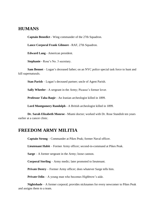### **HUMANS**

**Captain Benedict** - Wing commander of the 27th Squadron.

**Lance Corporal Frank Gilmore** - RAF, 27th Squadron.

**Edward Lang** - American president.

**Stephanie** - Rose's No. 3 secretary.

**Sam Bennet** – Logan's deceased father; on an NYC police special task force to hunt and kill supernaturals.

**Stan Parish** – Logan's deceased partner; uncle of Agent Parish.

**Sally Wheeler** - A sergeant in the Army; Picasso's former lover.

**Professor Taha Baqir** - An Iranian archeologist killed in 1899.

**Lord Montgomery Randolph** - A British archeologist killed in 1899.

**Dr. Sarah Elizabeth Monroe** - Miami doctor; worked with Dr. Rose Standish ten years earlier at a cancer clinic.

### **FREEDOM ARMY MILITIA**

**Captain Strong** – Commander at Pikes Peak; former Naval officer.

**Lieutenant Habit** – Former Army officer; second-in-command at Pikes Peak.

**Sarge** – A former sergeant in the Army; loose cannon.

**Corporal Sterling** – Army medic; later promoted to lieutenant.

**Private Destry** – Former Army officer; does whatever Sarge tells him.

**Private Odin** – A young man who becomes Highbrow's aide.

**Nightshade** – A former corporal; provides nicknames for every newcomer to Pikes Peak and assigns them to a team.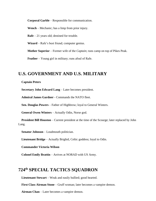**Corporal Garble** – Responsible for communication.

**Wench** – Mechanic; has a limp from prior injury.

**Rafe** – 21 years old; destined for trouble.

**Wizard** – Rafe's best friend; computer genius.

**Mother Superior** – Former wife of the *Captain*; runs camp on top of Pikes Peak.

**Feather** – Young girl in military; runs afoul of Rafe.

### **U.S. GOVERNMENT AND U.S. MILITARY**

#### **Captain Peters**

**Secretary John Edward Lang** – Later becomes president.

**Admiral James Gardner** - Commands the NATO fleet.

**Sen. Douglas Powers** – Father of Highbrow; loyal to General Winters.

**General Owen Winters** – Actually Odin, Norse god.

**President Bill Houston** – Current president at the time of the Scourge; later replaced by John Lang.

**Senator Johnson** – Loudmouth politician.

**Lieutenant Bridge** – Actually Brighid, Celtic goddess; loyal to Odin.

**Commander Victoria Wilson** 

**Colonel Emily Brattin** – Arrives at NORAD with US Army.

# **724th SPECIAL TACTICS SQUADRON**

**Lieutenant Stewart** – Weak and easily bullied; good hearted.

**First Class Airman Stone** – Gruff woman; later becomes a vampire demon.

**Airman Chan** – Later becomes a vampire demon.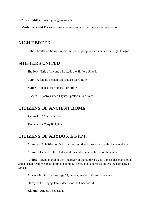**Airmen Miller** – Whimpering young man.

**Master Sergeant Fraser** – Hard nose veteran; later becomes a vampire demon.

### **NIGHT BREED**

**Lobo** - Leader of the werewolves in NYC; group formerly called the Night League.

#### **SHIFTERS UNITED**

**Shadow** - Title of anyone who leads the Shifters United.

**Lynx** - A female Persian cat; protects Lord Rafe.

**Major** - A black cat; protects Lord Rafe.

**Ulysses** - A tabby named Ulysses; protects Lord Rafe.

### **CITIZENS OF ANCIENT ROME**

**Sabnock** - A Vescali slave.

**Tacticus** - A Tarqali gladiator.

#### **CITIZENS OF ABYDOS, EGYPT:**

**Ahmose** - High Priest of Osiris; wears a gold and pink robe and thick eye makeup.

**Ammut** - Demon of the Underworld who devours the hearts of the guilty.

**Anubis** - Egyptian god of the Underworld; therianthrope with a muscular man's body and a jackal-head; wears gold tunic; cunning, clever, and dangerous; enjoys the company of Smack.

**Anwar** - Nahib's brother; age 19; human; leader of Cairo scavengers.

**Hordjedef** - Hippopotamus demon of the Underworld.

**Khnum** - Anubis's pet jackal.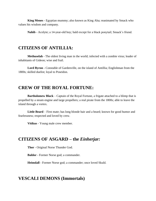**King Menes** - Egyptian mummy; also known as King Aha; reanimated by Smack who values his wisdom and company.

**Nahib** - Acolyte; a 14-year-old boy; bald except for a black ponytail; Smack's friend.

### **CITIZENS OF ANTILLIA:**

**Methuselah** - The oldest living man in the world; infected with a zombie virus; leader of inhabitants of Gideon; wise and frail.

**Lord Byron** - Constable of Gardenville, on the island of Antillia; Englishman from the 1800s; skilled duelist; loyal to Poseidon.

### **CREW OF THE ROYAL FORTUNE:**

**Bartholomew Black** – Captain of the Royal Fortune, a frigate attached to a blimp that is propelled by a steam engine and large propellers; a real pirate from the 1800s; able to leave the island through a vortex.

Little Beard – First mate; has long blonde hair and a beard; known for good humor and fearlessness; respected and loved by crew.

**Vitikus** - Young male crew member.

### **CITIZENS OF ASGARD – the** *Einherjar:*

**Thor** - Original Norse Thunder God.

**Baldor** - Former Norse god; a commander.

**Heimdall** - Former Norse god; a commander; once loved Skuld.

#### **VESCALI DEMONS (Immortals)**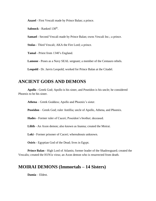**Azazel** - First Vescali made by Prince Balan; a prince.

**Sabnock** - Ranked 130<sup>th</sup>.

**Samael** - Second Vescali made by Prince Balan; owns Vescali Inc.; a prince.

**Stolas** - Third Vescali; AKA the Fire Lord; a prince.

**Tamal** - Priest from 1340's England.

**Lamone** - Poses as a Navy SEAL sergeant; a member of the Centauro rebels.

**Leopold** - Dr. Jarvis Leopold; worked for Prince Balan at the Citadel.

### **ANCIENT GODS AND DEMONS**

**Apollo** - Greek God; Apollo is his sister, and Poseidon is his uncle; he considered Phoenix to be his sister.

**Athena** – Greek Goddess; Apollo and Phoenix's sister.

**Poseidon** – Greek God; ruler Antillia; uncle of Apollo, Athena, and Phoenix.

**Hades** - Former ruler of Caceri; Poseidon's brother; deceased.

**Lilith** - An Axon demon; also known as Inanna; created the Moirai.

**Loki** - Former prisoner of Caceri; whereabouts unknown.

**Osiris** - Egyptian God of the Dead; lives in Egypt.

**Prince Balan** - High Lord of Atlantis; former leader of the Shadowguard; created the Vescalis; created the H1N1z virus; an Axon demon who is resurrected from death.

### **MOIRAI DEMONS (Immortals – 14 Sisters)**

**Damia** – Eldest.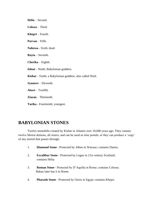**Helia** – Second. **Celesse** – Third. **Khepri** – Fourth. **Parvan** – Fifth. **Nabessa** - Sixth; dead. **Rayia** – Seventh. **Cherika** – Eighth. **Ishtar** - Ninth; Babylonian goddess. **Kishar** - Tenth; a Babylonian goddess; also called Ninli. **Synnove** – Eleventh. **Alawi** – Twelfth. **Ziazan** – Thirteenth. **Tarika** - Fourteenth; youngest.

# **BABYLONIAN STONES**

Twelve monoliths created by Kishar in Atlantis over 10,000 years ago. They contain twelve Moirai demons, all sisters, and can be used as time portals, or they can produce a 'copy' of any mortal that passes through.

- 1. **Diamond Stone** Protected by Alben in Warsaw; contains Damia.
- 2. **Excalibur Stone** Protected by Logan in 21st century Scotland; contains Helia.
- 3. **Roman Stone** Protected by D'Aquilla in Rome; contains Celesse; Bakau later has it in Rome.
- 4. **Pharaoh Stone** Protected by Osiris in Egypt; contains Khepri.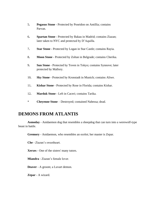- 5**. Pegasus Stone** Protected by Poseidon on Antillia; contains Parvan.
- 6**. Spartan Stone** Protected by Bakau in Madrid; contains Ziazan; later taken to NYC and protected by D'Aquilla.
- 7**. Star Stone** Protected by Logan in Star Castle; contains Rayia.
- 8**. Moon Stone** Protected by Zoltan in Belgrade; contains Cherika.
- 9**. Sun Stone** Protected by Toven in Tokyo; contains Synnove; later protected by Mallory.
- 10**. Sky Stone** Protected by Kronstadt in Munich; contains Aliwe.
- 11**. Kishar Stone** Protected by Rose in Florida; contains Kishar.
- 12**. Marduk Stone** Left in Caceri; contains Tarika.
- \* **Cheyenne Stone** Destroyed; contained Nabessa; dead.

### **DEMONS FROM ATLANTIS**

**Asmoday** - Anidaemon dog that resembles a sheepdog that can turn into a werewolf-type beast in battle.

**Gremory** - Anidaemon, who resembles an ocelot; her master is Zepar.

**Che** - Ziazan's sweetheart.

**Xerxes** - One of the sisters' many tutors.

**Miandra** - Ziazan's female lover.

**Deaver** - A groom; a Luvart demon.

**Zepar** - A wizard.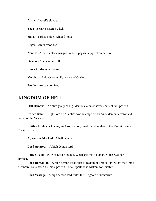**Aisha** - Azazel's slave girl.

**Zega** - Zepar's sister; a witch.

**Sallas** - Tarika's black winged horse.

**Eligos** - Anidaemon owl.

**Nemur** - Azazel's black winged horse; a pegasi, a type of anidaemon.

**Gusion** - Anidaemon wolf.

**Ipos** - Anidaemon mouse.

**Melphas** - Anidaemon wolf; brother of Gusion.

**Furfur** - Anidaemon fox.

### **KINGDOM OF HELL**

**Hell Demons** – An elite group of high demons; albino; seventeen feet tall; powerful.

**Prince Balan** – High Lord of Atlantis; now an emperor; an Axon demon; creator and father of the Vescalis.

**Lilith** – Lilithia or Inanna; an Axon demon; creator and mother of the Moirai; Prince Balan's sister.

**Agares the Marked** - A hell demon.

**Lord Astaroth** – A high demon lord.

**Lady Q'Vell** – Wife of Lord Vassago. When she was a human, Stolas was her brother.

**Lord Dantallion** – A high demon lord; rules Kingdom of Tranquility; wrote the Grand Grimoire, considered the most powerful of all spellbooks written, for Lucifer.

**Lord Vassago** – A high demon lord; rules the Kingdom of Santorum.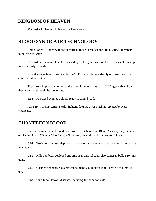# **KINGDOM OF HEAVEN**

**Michael** - Archangel; fights with a flame sword.

# **BLOOD SYNDICATE TECHNOLOGY**

**Beta Clones** - Cloned with the specific purpose to replace the High Council members; mindless duplicates.

**Chroniker** - A watch-like device used by TTD agent, worn on their wrists and can stop time for thirty seconds.

**PLR-1** - Pulse laser rifles used by the TTD that produces a deadly red laser beam that cuts through anything.

**Trackers** - Implants worn under the skin of the forearms of all TTD agents that allow them to travel through the monoliths.

**RTB** - Packaged synthetic blood; ready to drink blood.

**AC-1SF** - Airship carrier stealth fighters, futuristic war machine, created by Nazi engineers.

### **CHAMELEON BLOOD**

Cadence's supernatural blood is referred to as Chameleon Blood. Vescali, Inc., on behalf of General Owen Winters AKA Odin, a Norse god, created five formulas, as follows:

**CB1** – Toxin to vampires; deployed airborne or in aerosol cans; also comes in bullets for most guns.

**CB2** – Kills zombies; deployed airborne or in aerosol cans; also comes in bullets for most guns.

**CB3** – Cosmetic enhancer–guaranteed to make you look younger; gets rid of pimples, too.

**CB4** – Cure for all known diseases, including the common cold.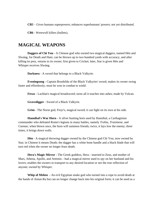**CB5** – Gives humans superpowers; enhances superhumans' powers; not yet distributed.

**CB6** - Werewolf killers (bullets).

# **MAGICAL WEAPONS**

**Daggers of Chi You** - A Chinese god who owned two magical daggers, named Hèn and Sîwáng, for Death and Hate; can be thrown up to two hundred yards with accuracy, and after killing its prey, returns to its owner; first given to Cricket; later, Star is given Hèn and Whisper receives Sîwáng.

**Darkness** - A sword that belongs to a Black Valkyrie.

**Eveningsong** - Captain Brunhilda of the Black Valkyries' sword; makes its owner swing faster and effortlessly; must be won in combat to wield.

**Ferax** - Lachlan's magical broadsword; turns all it touches into ashes; made by Vulcan.

**Gravedigger** - Sword of a Black Valkyrie.

**Grim** - The Norse god, Freyr's, magical sword; it can fight on its own at his side.

**Hannibal's War Horn -** A silver hunting horn used by Hannibal, a Carthaginian commander who defeated Rome's legions in many battles, namely *Trebia, Trasimene*, and *Cannae*; when blown once, the horn will summon friends; twice, it lays low the enemy; three times, it brings down walls.

**Hèn** - A magical throwing dagger owned by the Chinese god Chi You; now owned by Star; in Chinese it means Death; the dagger has a white bone handle and a black blade that will turn red when the owner no longer fears death.

**Hera's Magic Mirror -** The Greek goddess, Hera—married to Zeus, and mother of Mars, Athena, Apollo, and Artemis—had a magical mirror used to spy on her husband and his lovers; enables the owners to transport to any desired location or see the true reflection of anyone; owned by Whisper.

**Whip of Mehen -** An evil Egyptian snake god who turned into a rope to avoid death at the hands of Amun-Ra but can no longer change back into his original form; it can be used as a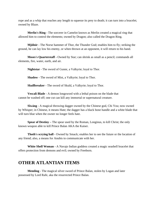rope and as a whip that reaches any length to squeeze its prey to death; it can turn into a bracelet; owned by Blaze.

**Merlin's Ring -** The sorcerer in Camelot known as Merlin created a magical ring that allowed him to control the elements; owned by Dragon; also called the Dragon Ring.

**Mjölnir** - The Norse hammer of Thor, the Thunder God; enables him to fly; striking the ground, he can lay low his enemy, or when thrown at an opponent, it will return to his hand.

**Moses's Quarterstaff -** Owned by Star; can shrink as small as a pencil; commands all elements, fire, water, earth, and air.

**Nightstar** - The sword of Gunnr, a Valkyrie; loyal to Thor.

**Shadow** - The sword of Mist, a Valkyrie; loyal to Thor.

**Skullbreaker** - The sword of Skuld, a Valkyrie; loyal to Thor.

**Vescali Blade** - A demon longsword with a lethal poison on the blade that cannot be washed off; one cut can kill any immortal or supernatural creature.

**Sîwáng** - A magical throwing dagger owned by the Chinese god, Chi You; now owned by Whisper; in Chinese, it means Hate; the dagger has a black bone handle and a white blade that will turn blue when the owner no longer feels hate.

**Spear of Destiny –** The spear used by the Roman, Longinus, to kill Christ; the only known weapon able to kill Prince Balan AKA the Kaiser.

**Thoth's scrying ball -** Owned by Smack; enables her to see the future or the location of any friend; also, a means for Anubis to communicate with her.

**White Shell Woman -** A Navajo Indian goddess created a magic seashell bracelet that offers protection from demons and evil; owned by Freeborn.

### **OTHER ATLANTIAN ITEMS**

**Memling** - The magical silver sword of Prince Balan, stolen by Logan and later possessed by Lord Rafe, aka the resurrected Prince Balan.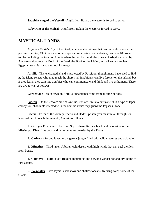**Sapphire ring of the Vescali** - A gift from Balan; the wearer is forced to serve.

**Ruby ring of the Moirai** - A gift from Balan; the wearer is forced to serve.

# **MYSTICAL LANDS**

**Abydos** - Osiris's City of the Dead; an enchanted village that has invisible borders that prevent zombies, Old Ones, and other supernatural creates from entering; has over 100 royal tombs, including the tomb of Anubis where he can be found; the priests of Abydos are led by Ahmose and protect the Book of the Dead, the Book of the Living, and all known ancient Egyptian tests; it is also a school for magic.

**Antillia** -This enchanted island is protected by Poseidon; though many have tried to find it, the island selects who may reach the shores; all inhabitants can live forever on this island, but if they leave, they turn into zombies who can communicate and think and live as humans. There are two towns, as follows:

Gardenville - Main town on Antillia; inhabitants come from all time periods.

**Gideon** - On the leeward side of Antillia, it is off-limits to everyone; it is a type of leper colony for inhabitants infected with the zombie virus; they guard the Pegasus Stone.

**Caceri** - To reach the wintery Caceri and Hades' prison, you must travel through six layers of hell to reach the seventh, Caceri, as follows:

1. **Othrys** - First layer: The River Styx is here. Its dark black and is as wide as the Mississippi River. Has bogs and tall mountains guarded by the Titans.

2. **Cathrys** - Second layer: A dangerous jungle filled with wild creatures and acid rain.

3. **Minethys** - Third layer: A bitter, cold desert, with high winds that can peel the flesh from bones.

4. **Colothys** - Fourth layer: Rugged mountains and howling winds; hot and dry; home of Fire Giants.

5. **Porphatys** - Fifth layer: Black snow and shallow oceans; freezing cold; home of Ice Giants.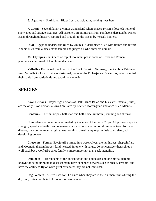6. **Agathys** - Sixth layer: Bitter frost and acid rain; nothing lives here.

7. **Caceri** - Seventh layer; a winter wonderland where Hades' prison is located; home of snow apes and strange creatures. All prisoners are immortals from pantheons defeated by Prince Balan throughout history, captured and brought to the prison by Vescali hunters.

**Duat** - Egyptian underworld ruled by Anubis. A dark place filled with flames and terror; Anubis rules from a black stone temple and judges all who enter his domain.

**Mt. Olympus** - In Greece on top of mountain peak; home of Greek and Roman pantheons, comprised of temples and a palace.

**Valhalla** - Enchanted fort found in the Black Forest in Germany; the Rainbow Bridge ran from Valhalla to Asgard but was destroyed; home of the Einherjar and Valkyries, who collected their souls from battlefields and guard their remains.

#### **SPECIES**

**Axon Demons** – Royal high demons of Hell; Prince Balan and his sister, Inanna (Lilith), are the only Axon demons allowed on Earth by Lucifer Morningstar, and once ruled Atlantis.

**Centaurs** - Therianthropes; half-man and half-horse; immortal; cunning and shrewd.

**Chameleons** – Superhumans created by Cadence of the Earth Corps. All possess superior strength, speed, and agility and regenerate quickly; most are immortal; immune to all forms of disease; they do not require light to see nor air to breath; they require little to no sleep; still developing powers.

**Cheyenne** - Former Navajo tribe turned into werewolves; therianthropes; shapeshifters and Mountain therianthropes; kind-hearted, in tune with nature, do not consider themselves a wolf pack but a wolf tribe since family is more important than pack mentality.

**Demigods** - Descendants of the ancient gods and goddesses and one mortal parent; known for being immune to disease; many have enhanced powers, such as speed, strength, and have the ability to fly or swim great distances; they are not immortal.

**Dog Soldiers** - A term used for Old Ones when they are in their human forms during the daytime, instead of their full moon forms as werewolves.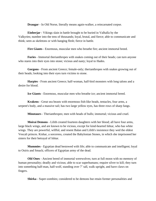**Draugar** - In Old Norse, literally means again-walker, a reincarnated corpse.

**Einherjar** - Vikings slain in battle brought to be buried in Valhalla by the Valkyries; number into the tens of thousands; loyal, brutal, and fierce; able to communicate and think; seen as skeletons or with hanging flesh; fierce in battle.

**Fire Giants** - Enormous, muscular men who breathe fire; ancient immortal breed.

**Furies** - Immortal therianthropes with snakes coming out of their heads; can turn anyone who stares into their eyes into stone; vicious and nasty; loyal to Hades.

**Gorgons** - From ancient Greece; female-only; therianthropes with snakes growing out of their heads; looking into their eyes turn victims to stone.

**Harpies** - From ancient Greece; half-woman, half-bird monsters with long talons and a desire for blood.

**Ice Giants** - Enormous, muscular men who breathe ice; ancient immortal breed.

**Krakens** - Great sea beasts with enormous fish-like heads, tentacles, four arms, a serpent's body, and a massive tail; has two large yellow eyes, has three rows of sharp fangs.

**Minotaurs** - Therianthropes; men with heads of bulls; immortal; vicious and cruel.

**Moirai Demons** - Lilith created fourteen daughters with her blood; all have four arms, large black wings, and are known to be vicious, except for kind-hearted Ishtar, who has white wings. They are powerful, willful, and resent Balan and Lilith's insistence they wed the eldest Vescali princes. Kishar, a sorceress, created the Babylonian Stones, in which she imprisoned her sisters for their betrayal of Ishtar.

**Mummies** - Egyptian dead bestowed with life; able to communicate and intelligent; loyal to Osiris and Smack; officers of Egyptian army of the dead.

**Old Ones** - Ancient breed of immortal werewolves; turn at full moon with no memory of human personality; deadly and vicious; able to scar superhumans; require silver to kill; they turn into something half-man, half-wolf, standing over 7' tall, walk upright, and have claws on fingers.

**Shirka** - Super-zombies; considered to be demons but retain former personalities and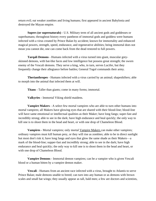return evil; eat weaker zombies and living humans; first appeared in ancient Babylonia and destroyed the Mayan empire.

**Supers (or supernaturals)** - U.S. Military term of all ancient gods and goddesses or superhumans; throughout history every pantheon of immortal gods and goddess were humans infected with a virus created by Prince Balan by accident; known for immortality and enhanced magical powers, strength, speed, endurance, and regenerative abilities; being immortal does not mean you cannot die, one can come back from the dead restored to full powers.

**Tarqali Demons** - Humans infected with a virus turned into giant, muscular greyskinned demons, with bat-like faces and low intelligence but possess great strength; the sworn enemy of the Vescali demons. They serve a king, who, in turn, serves Lucifer, but they frequently change their allegiance before battles; General Togol commands their army.

**Therianthropes** - Humans infected with a virus carried by an animal; shapeshifters; able to morph into the animal that infected them at will.

**Titans** - Taller than giants; come in many forms; immortal.

**Valkyries** - Immortal Viking shield maidens.

.

**Vampire Makers** - A select few mortal vampires who are able to turn other humans into mortal vampires; all Makers have glowing eyes that are shared with their blood-line; blood-line will have same emotional or intellectual qualities as their Maker; have long fangs; super-fast and incredibly strong; able to see in the dark; have high endurance and heal quickly; the only way to kill one is to shoot them in the head and heart, or with one drop of Chameleon Blood.

**Vampires** - Mortal vampires; only mortal Vampire Makers can make other vampires; ordinary vampires must kill human prey, or they will rise as zombies; able to be in direct sunlight but most don't risk it; have long fangs and eyes that glow the same shade as their Makers—a mark of the blood-line; supper-fast and incredibly strong; able to see in the dark; have high endurance and heal quickly; the only way to kill one is to shoot them in the head and heart, or with one drop of Chameleon Blood.

**Vampire Demons** - Immortal demon vampires; can be a vampire who is given Vescali blood or a human bitten by a vampire demon maker.

**Vescali** - Humans from an ancient race infected with a virus, brought to Atlantis to serve Prince Balan; male demons unable to breed; can turn into any human or as demons with brown scales and small bat wings; they usually appear as tall, bald men; a few are doctors and scientists,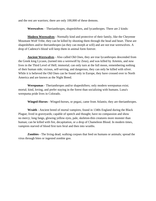and the rest are warriors; there are only 100,000 of these demons.

**Werewolves** – Therianthropes, shapeshifters, and lycanthropes. There are 2 kinds:

**Modern Werewolves** - Normally kind and protective of their family, like the Cheyenne Mountain Wolf Tribe, they can be killed by shooting them through the head and heart. These are shapeshifters and/or therianthropes (as they can morph at will) and are not true werewolves. A drop of Cadence's blood will keep them in animal form forever.

**Ancient Werewolves** - Also called Old Ones, they are true lycanthropes descended from the Greek king Lycaon, (turned into a werewolf by Zeus), and was killed by Artemis, and now lives in the Third Level of Hell; immortal; can only turn at the full moon, remembering nothing of their human side; vicious, self-serving, and dangerous, they can only be killed with silver. While it is believed the Old Ones can be found only in Europe, they have crossed over to North America and are known as the Night Breed.

**Werepumas** - Therianthropes and/or shapeshifters; only modern werepumas exist; mortal; kind, loving, and prefer staying in the forest than socializing with humans. Luna's werepuma pride lives in Colorado.

**Winged-Horses** - Winged-horses, or pegasi, came from Atlantis; they are therianthropes.

**Wraith** - Ancient breed of mortal vampires; found in 1340s England during the Black Plague; lived in graveyards; capable of speech and thought; have no compassion and show no mercy; long fangs, glowing yellow eyes, pale, skeleton-thin creatures more monster than human; can be killed with fire, decapitation, or a drop of Chameleon Blood. In modern times, vampires starved of blood first turn feral and then into wraiths.

**Zombies** - The living dead; walking corpses that feed on humans or animals; spread the virus through bites or ingested zombie goo.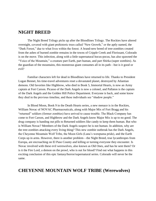### **NIGHT BREED**

The Night Breed Trilogy picks up after the Bloodlines Trilogy. The Rockies have altered overnight, covered with giant prehistoric trees called "New Growth," or the aptly named, the "Dark Forest," due to what lives within the forest. A brand-new breed of tree-zombies created from the ashes of burned zombie remains in the towns of Cripple Creek and Florissant, Colorado is on the move. This infection, along with a little supernatural hocus-pocus, has also spawned the "Voice of the Mountain," a creature part Earth, part human, and part Shirka (super zombies). As the guardian of the mountains, this monstrous giant consumes all in its path—but is it good or evil?

Familiar characters left for dead in Bloodlines have returned to life. Thanks to President Logan Bennet, his time-travel adventures reset a devastated planet, destroyed by Atlantian demons. Old favorites like Highbrow, who died in Book 5, Immortal Hearts, is now an Army captain at Fort Carson. Picasso of the Dark Angels is now a colonel, and Pallaton is the captain of the Dark Angels and the Golden Hill Police Department. Everyone is back, and some know they died in the previous timeline, and these individuals see "shadow people."

In Blood Moon, Book 9 in the Death Hearts series, a new menace is in the Rockies, William Novac of NOVAC Pharmaceuticals, along with Major Mix of Fort Bragg and his "returned" soldiers (former zombies) have arrived to cause trouble. The Black Company has come to Fort Carson, and Highbrow and the Dark Angels know Major Mix is up to no good. The drug company is handing out pills to Returned soldiers like candy to keep them human. But who is William Novac? Members of the Dark Angels suspect he is not human. In addition, why are the tree-zombies attacking every living thing? This new zombie outbreak has the Dark Angels, the Cheyenne Mountain Wolf Tribe, the Moon Girls (Luna's werepuma pride), and the Earth Corps up in arms. However, there is another problem—the Night Breed, true lycanthropes from Europa, are encroaching on El Paso County and killing or turning everyone they encounter. Is Novac involved with these evil werewolves, also known as Old Ones, and has he sent them? Or is it the Fire Lord, a demon on the prowl, who is out for blood? Find out what happens in this exciting conclusion of this epic fantasy/horror/supernatural series. Colorado will never be the same.

# **CHEYENNE MOUNTAIN WOLF TRIBE (Werewolves)**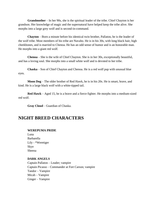**Grandmother** – In her 90s, she is the spiritual leader of the tribe. Chief Chayton is her grandson. Her knowledge of magic and the supernatural have helped keep the tribe alive. She morphs into a large grey wolf and is second-in-command.

**Chayton** – Born a minute before his identical twin brother, Pallaton, he is the leader of the wolf tribe. Most members of his tribe are Navaho. He is in his 30s, with long black hair, high cheekbones, and is married to Chenoa. He has an odd sense of humor and is an honorable man. He morphs into a giant red wolf.

**Chenoa** – She is the wife of Chief Chayton. She is in her 30s, exceptionally beautiful, and has a loving soul. She morphs into a small white wolf and is devoted to her tribe.

**Chaska** – Son of Chief Chayton and Chenoa. He is a red wolf pup with unusual blue eyes.

**Moon Dog** – The older brother of Red Hawk, he is in his 20s. He is smart, brave, and kind. He is a large black wolf with a white-tipped tail.

**Red Hawk** – Aged 15, he is a brave and a fierce fighter. He morphs into a medium-sized red wolf.

**Gray Cloud** – Guardian of Chaska.

## **NIGHT BREED CHARACTERS**

#### **WEREPUMA PRIDE**

Luna Barbarella Lily - \*Weretiger Skye Sheena

#### **DARK ANGELS**

Captain Pallaton – Leader; vampire Captain Picasso – Commander at Fort Carson; vampire Tandor – Vampire Micah – Vampire Ginger – Vampire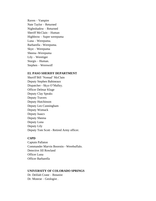Raven – Vampire Nate Taylor – Returned Nightshadow – Returned Sheriff McClain – Human Highbrow – Super werepuma Luna – Werepuma. Barbarella - Werepuma. Skye – Werepuma Sheena -Werepuma Lily – Weretiger Sturgis – Human. Stephen – Werewolf

#### **EL PASO SHERIFF DEPARTMENT**

Sheriff Bill 'Nomad' McClain Deputy Stephen Babineaux Dispatcher - Skye O'Malley. Officer Delmar Kluge Deputy Clay Speaks Deputy Travers Deputy Hutchinson Deputy Leo Cunningham Deputy Womack Deputy Isaacs Deputy Sheena Deputy Luna Deputy Lily Deputy Tom Scott - Retired Army officer.

#### **CSPD**

Captain Pallaton Commander Marvin Boorstin - Werebuffalo. Detective Jill Rowland Officer Luna Officer Barbarella

#### **UNIVERSITY OF COLORADO SPRINGS**

Dr. Delilah Crane – Botanist Dr. Monroe – Geologist .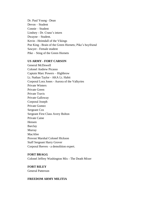Dr. Paul Young - Dean Devon – Student Connie – Student Lindsey - Dr. Crane's intern Dwayne – Student. Kevin - Heimdall of the Vikings Poe King - Brain of the Green Hornets; Pike's boyfriend Sawyer - Female student Pike – Sting of the Green Hornets

#### **US ARMY - FORT CARSON**

General McDowell Colonel Andrew Picasso Captain Marc Powers – Highbrow Lt. Nathan Taylor - AKA Lt. Habit Corporal Lora Jones - Aurora of the Valkyries Private Winters Private Green Private Travis Private Galloway Corporal Joseph Private Gomez Sergeant Cox Sergeant First Class Avery Bolton Private Caine Hensen Barclay Murray MacAfee Provost Marshal Colonel Hickson Staff Sergeant Harry Grover Corporal Reeves - a demolition expert.

#### **FORT BRAGG**

Colonel Jeffrey Washington Mix - The Death Mixer

**FORT RILEY** General Patterson

#### **FREEDOM ARMY MILITIA**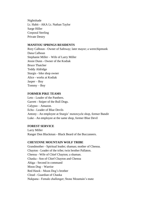Nightshade Lt. Habit - AKA Lt. Nathan Taylor Sarge Hiller Corporal Sterling Private Destry

#### **MANITOU SPRINGS RESIDENTS**

Rory Calhoun - Owner of Safeway; later mayor; a werechipmunk Dana Calhoun Stephanie Miller – Wife of Larry Miller Jessie Dunn - Owner of the Kodiak Bruce Thatcher Teddy Aldridge Sturgis - bike shop owner Alice - works at Kodiak Jasper – Boy Tommy – Boy

#### **FORMER PIKE TEAMS**

Leto - Leader of the Panthers. Garrett - Sniper of the Bull Dogs. Calypso – Amazon. Echo - Leader of Blue Devils Antony - An employee at Sturgis' motorcycle shop, former Bandit Luke - An employee at the same shop, former Blue Devil

#### **FOREST SERVICE**

Larry Miller Ranger Don Blackman - Black Beard of the Buccaneers.

#### **CHEYENNE MOUNTAIN WOLF TRIBE**

Grandmother - Spiritual leader; shaman; mother of Chenoa. Chayton - Leader of the tribe; twin brother Pallaton. Chenoa - Wife of Chief Chayton; a shaman. Chaska - Son of Chief Chayton and Chenoa Ahiga - Second in command Moon Dog – Warrior Red Hawk - Moon Dog's brother Cloud - Guardian of Chaska Nukpana - Female challenger; Stone Mountain's mate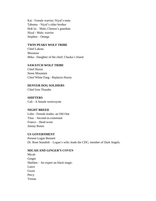Kai - Female warrior; Niyal's mate Tahoma – Niyal's older brother Hok'ee – Male; Chenoa's guardian Niyal - Male; warrior Stephen – Omega

#### **TWIN PEAKS WOLF TRIBE**

Chief Lakota Moomaw Mika - Daughter of the chief; Chaska's friend

#### **SAWATCH WOLF TRIBE**

Chief Huron Stone Mountain Chief White Fang - Replaces Huron

#### **DENVER DOG SOLDIERS**

Chief Iron Thunder

**SHIFTERS** Cali - A female werecoyote

#### **NIGHT BREED**

Lobo - Female leader; an Old One Titus – Second-in-command Franco – Head scout Jimmy Bones

#### **US GOVERNMENT**

Present Logan Bennett Dr. Rose Standish – Logan's wife; leads the CDC; member of Dark Angels.

#### **MICAH AND GINGER'S COVEN**

Micah Ginger Sheldon – An expert on black magic. Lance Gwen **Percy** Tristan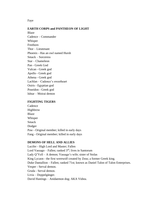Faye

#### **EARTH CORPS and PANTHEON OF LIGHT**

Blaze Cadence – Commander Whisper Freeborn Thor – Lieutenant Phoenix - Has an owl named Hursh Smack – Sorceress Star – Chameleon Pan - Greek God Vulcan - Greek god Apollo - Greek god Athena - Greek god Lachlan – Cadence's sweetheart Osiris - Egyptian god Poseidon - Greek god Ishtar – Moirai demon

#### **FIGHTING TIGERS**

Cadence Highbrow Blaze Whisper Smack Dodger Paw - Original member; killed in early days Fang - Original member; killed in early days

#### **DEMONS OF HELL AND ALLIES**

Lucifer - High Lord and Master; Fallen Lord Vassago – Fallen; ranked  $3<sup>rd</sup>$ ; lives in Santorum Lady Q'Vell – A demon; Vassago's wife; sister of Stolas King Lycaon - the first werewolf created by Zeus; a former Greek king. Duke Dantallion – Fallen; ranked 71st; known as Daniel Talon of Talon Enterprises. Vesper - Serval demon. Gruda - Serval demon. Livia – Doppelgänger. David Hastings – Anidaemon dog; AKA Vidsta.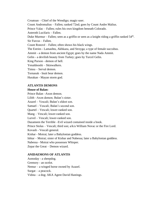Croatoan – Chief of the Wendigo; magic-user. Count Andromalius – Fallen; ranked 72nd; goes by Count Andre Malius. Prince Valac – Fallen; rules his own kingdom beneath Colorado. Asteroth Lucifaris – Fallen. Duke Murmur – Fallen; seen as a griffin or seen as a knight riding a griffin ranked 54<sup>th</sup>. Sir Furcus – Fallen. Count Ronové – Fallen; often shows his black wings. The Estries - Lamashtu, Akhkazu, and Strzyga; a type of female succubus. Ammit - a demon from ancient Egypt; goes by the name Nada Ammit. Gelin - a devilish beauty from Turkey; goes by Turcel Gelin. King Purson - demon of hell. Yenaldooshi – Skinwalkers. Timsu – Serval demon. Tornasuk - Inuit bear demon. Hurakan - Mayan storm god.

**ATLANTIS DEMONS**

#### **House of Balan:**

Prince Balan –Axon demon. Lilith –Axon demon; Balan's sister. Azazel – Vescali; Balan's eldest son. Samael – Vescali; Balan's second son. Quartel – Vescali; lower-ranked son. Mang – Vescali; lower-ranked son. Lurvel – Vescali; lower-ranked son. Dazameen the Terrible –Evil wizard contained inside a book. Prince Stolas – Vescali; third son; a/k/a William Novac or the Fire Lord. Kovash - Vescali general. Kishar - Moirai; later a Babylonian goddess. Ishtar – Moirai; sister of Kishar and Nabessa; later a Babylonian goddess. Nabessa - Moirai who possesses Whisper. Zepar the Great – Demon wizard.

#### **ANIDAEMONS OF ATLANTIS**

Asmoday - a sheepdog. Gremory - an ocelot. Nemur – a winged horse owned by Azazel. Surgat – a peacock. Vidsta – a dog; AKA Agent David Hastings.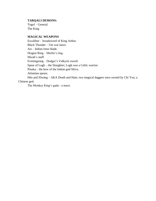#### **TARQALI DEMONS:**

Togol – General. The King

#### **MAGICAL WEAPONS**

Excalibur – broadsword of King Arthur. Black Thunder – Ute war lance. Asi – Indian lotus blade. Dragon Ring – Merlin's ring. Micah's staff. Eveningsong – Dodger's Valkyrie sword. Spear of Lugh – the Slaughter; Lugh was a Celtic warrior. Pinaka – the bow of the Indian god Shiva. Atlantian spears. Hèn and Sîwáng – AKA Death and Hate; two magical daggers once owned by Chi You, a Chinese god.

The Monkey King's gada - a mace.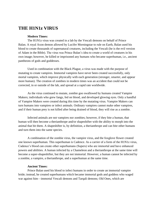# **THE H1N1z VIRUS**

#### **Modern Times:**

The H1N1z virus was created in a lab by the Vescali demons on behalf of Prince Balan. A royal Axon demon allowed by Lucifer Morningstar to rule on Earth, Balan used his blood to create thousands of supernatural creatures, including the Vescali (he is the evil version of Adam in the Bible). The virus was Prince Balan's idea to create a world of creatures in his own image; however, he killed or imprisoned any humans who became superhuman, i.e., ancient pantheons of gods and goddesses.

Used in combination with the Black Plague, a virus was made with the purpose of mutating to create vampires. Immortal vampires have never been created successfully, only mortal vampires, which improve physically with each generation (stronger, smarter, and appear more human). The creation of zombies in modern times was an accident that could not be corrected, in or outside of the lab, and spread at a rapid rate worldwide.

As the virus continued to mutate, zombie goo swallowed by humans created Vampire Makers; individuals who grew fangs, fed on blood, and developed glowing eyes. Only a handful of Vampire Makers were created during this time by the mutating virus. Vampire Makers can turn humans into vampires or infect animals. Ordinary vampires cannot make other vampires, and if their human prey is not killed after being drained of blood, they will rise as a zombie.

Infected animals are not vampires nor zombies; however, if they bite a human, that human will then become a therianthrope and/or shapeshifter with the ability to morph into the animal that bit them. A shapeshifter is, by definition, a therianthrope and can bite other humans and turn them into the same species.

A combination of the zombie virus, the vampire virus, and the foxglove flower created one known superhuman. This superhuman is Cadence. As a carrier of a form of the H1N1z virus, Cadence's blood can create other superhumans (Supers) who are immortal and have enhanced powers and abilities. A human infected by a Chameleon and a therianthrope at the same time will become a super-shapeshifter, but they are not immortal. However, a human cannot be infected by a zombie, a vampire, a therianthrope, and a superhuman at the same time.

#### **Ancient Times:**

Prince Balan used his blood to infect humans in order to create an immortal vampire bride; instead, he created superhumans which became immortal gods and goddess who waged war against him—immortal Vescali demons and Tarqali demons; Old Ones, which are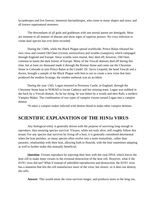lycanthropes and live forever; immortal therianthropes, who come in many shapes and sizes; and all known supernatural monsters.

The descendants of all gods and goddesses with one mortal parent are demigods. Most are immune to all manner of disease and show signs of superior powers. No cross infection to create dual species has ever been recorded.

During the 1340s, while the Black Plague spread worldwide, Prince Balan released his own virus and created Old Ones (vicious werewolves) and wraiths (vampires), which rampaged through England and Europe. Since wraiths were mortal, they died off; however, Old Ones continue to haunt the dark forests of Europe. Many of the Vescali demons died off during this time, but at least six thousand made it through the Roman Stone and came out the Cheyenne Stone in Colorado to join Prince Balan at the Citadel. Dr. Jarvis Leopold, the head Vescali and a doctor, brought a sample of the Black Plague with him to use to create a new virus that later produced the modern Scourge; the zombie outbreak was an accident.

During the year 1345, Logan returned to Pevensey Castle, in England, through the Cheyenne Stone kept in NORAD to locate Cadence and her missing team. Logan was stabbed in the back by a Vescali demon. As he lay dying, he was bitten by a wraith and then Rafe, a modern Vampire Maker. The combination of two types of vampire viruses turned Logan into a vampire demon.

\*It takes a vampire maker infected with demon blood to make other vampire demons.

### **SCIENTIFIC EXPLANATION OF THE H1N1z VIRUS**

Any biological entity is generally driven with the purpose of surviving long enough to reproduce, thus ensuring species survival. Viruses, while not truly alive, still roughly follow this tenant. For any species that survives by living off a host, it is generally considered detrimental when the host perishes, so many species often evolve into a more mutualistic, rather than parasitic, relationship with their host, allowing both to flourish, with the host sometimes adapting as well to further make this mutually beneficial.

**Question**: Viruses reproduce by injecting their host with the viral DNA, which forces the host cell to make more viruses to the eventual destruction of the host cell. However, what if the H1N1 virus did not? What if instead of unbridled reproduction and destruction, the H1N1 virus has a mutation that lets the cell manufacture more of the virus, but slower, so it does not destroy the cells.

**Answer**: This would mean the virus survives longer, and produces more in the long run,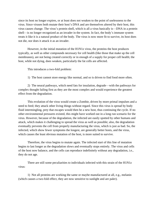since its host no longer expires, or at least does not weaken to the point of uselessness to the virus. Since viruses both mutate their host's DNA and are themselves altered by their host, this virus causes change. The virus's protein shell, which is all a virus basically is—DNA in a protein shell—is no longer recognized as an invader in the system. In fact, the body's immune system treats it like it is a natural product of the body. The virus is now more fit to survive, its host does not die, nor does it attack it as an invader.

However, in the initial mutation of the H1N1z virus, the proteins the host produces typically, as well as other compounds necessary for cell health (like those that make up the cell membranes), are not being created correctly or in enough of a supply for proper cell health; the host, while not dying, does weaken, particularly the fat cells are affected.

This introduces a two-fold problem:

1) The host cannot store energy like normal, and so is driven to find food more often.

2) The neural pathways, which need fats for insulation, degrade—with the pathways for complex thought failing first as they are the most complex and would experience the greatest effect from the degradation.

This evolution of the virus would create a Zombie, driven by more primal impulses and a need to feed; they attack other living things without regard. Since this virus is spread by body fluid intermingling, prey that escapes would then be a new host, thus continuing the cycle. If no other environmental pressures existed, this might have worked out in a long run scenario for the virus. However, because of the degradation, the infected are easily spotted by other humans and attack, which makes it challenging to spread the virus as well as possible; also, the degradation eventually prevents the cell from properly manufacturing the virus, which is just as bad. So, the infected, which show fewer symptoms the longest, are generally better hosts, and the virus, which causes the least obvious mutation of the host, is more suited to survive.

Therefore, the virus begins to mutate again. The infected start of this line of mutation begins to last longer as the degradation slows and eventually stops entirely. The virus and cells of the host now balance, and the cells can reproduce indefinitely without any degradation, i.e., they do not age.

There are still some peculiarities to individuals infected with this strain of the H1N1z virus:

1) Not all proteins are working the same or maybe manufactured at all, e.g., melanin (which causes a two-fold effect, they are now sensitive to sunlight and are paler).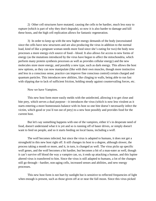2) Other cell structures have mutated, causing the cells to be hardier, much less easy to rupture (which is part of why they don't degrade), so now it is also harder to damage and kill these hosts, and the high cell replication allows for fantastic regeneration.

3) In order to keep up with the new higher energy demands of the body (necessitated since the cells have new structures and are also producing the virus in addition to the normal load, kind of like a pregnant woman needs more food since she's eating for two) the body now processes a more energy-rich source of food—blood. It also allows for access to new forms of energy (as the mutations introduced by the virus have begun to affect the mitochondria, which perform many protein synthesis processes as well as provides cellular energy) and the new molecules store more energy, and possibly a new type, such as dark energy. This allows the host new options, as they can now manipulate (like with their own muscles, though more instinctive and less in a conscious sense, practice can improve fine conscious control) certain charged and quantum particles. This introduces new abilities, like clinging to walls, being able to run fast with slipping due to lack of sufficient friction, holding steady against countervailing forces, etc.

Now we have Vampires.

This new host form more easily melds with the uninfected, allowing it to get close and bite prey, which serves a dual purpose—it introduces the virus (which is now less virulent as it starts entering a more homeostasis balance with its host so one bite doesn't necessarily infect the victim, which good or you'd run out of prey) to a new host possibly and provides food for the current host.

But let's say something happens with one of the vampires, either it's in desperate need of food, doesn't understand what it is yet and so is running off of baser drives, or simply doesn't want to feed on people, and so it starts feeding on local fauna, including a wolf.

The wolf becomes infected, but since the virus is adapted to humans, it does not get a stronghold in this new host right off. It still changes its host to a degree, although slower, the process taking a month or more, and it, in turn, is changed as well. The virus picks up specific wolf genes, and the wolf becomes a bit hardier, but becomes a bit of a man-eater as well, though it can't survive off blood the way a vampire can, so, it ends up attacking a human, and this lupine altered virus is transferred to him. Since the virus is still adapted to humans, a lot of the changes still go through—hardier, non-aging cells, increased senses and abilities, and new energy processes.

This new host form is not hurt by sunlight but is sensitive to reflected frequencies of light when enough is present, such as those given off at or near the full moon. Since this virus picked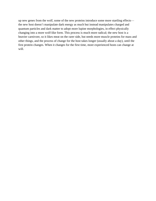up new genes from the wolf, some of the new proteins introduce some more startling effects the new host doesn't manipulate dark energy as much but instead manipulates charged and quantum particles and dark matter to adopt more lupine morphologies, in effect physically changing into a more wolf-like form. This process is much more radical; the new host is a heavier carnivore, so it likes meat on the rarer side, but needs more muscle proteins for mass and other things, and the process of change for the host takes longer (usually about a day), until the first protein changes. When it changes for the first time, more experienced hosts can change at will.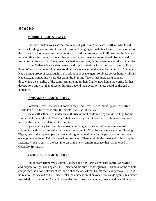### **BOOKS**

#### **MORBID HEARTS - Book 1:**

Cadence Sinclair was a seventeen-year-old girl from America's heartland who loved horseback riding, a comfortable pair of jeans, and hanging out with her friends. That was before the Scourge. It has been eleven months since a deadly virus wiped out billions. For the few who remain, life as they knew it is over. Nations fell, governments were rendered obsolete, and resources became scarce. The human race had to start over, facing even greater odds…Zombies.

Now, Cadence leads safety patrols and supply missions for a survivor's camp at Pike's Peak. When a routine mission goes south, Cadence gets more than she bargained for. She must lead a ragtag group of teens against an onslaught of scavengers, zombies, power-hungry military leaders…and a mutating virus. Her team, the Fighting Tigers, face increasing dangers threatening the stability of the camp. An uprising in their fragile, new home may bring further devastation, but what they discover lurking beyond their security fences could be the end of humanity.

#### **FORSAKEN HEARTS - Book 2:**

Forsaken Hearts, the second book in the Dead Hearts series, picks up where Morbid Hearts left off, a few weeks after the pivotal battle at Pike's Peak.

Makeshift settlements under the authority of the Freedom Army provide refuge for the survivors of the worldwide "Scourge" that has destroyed all known civilization and has turned most of the human population into zombies.

Quasi-military teen patrols are assembled to guard the camps' perimeters against scavengers and those infected with the ever-mutating H1N1z virus. Cadence and her Fighting Tigers, one of the top teen patrols, are working to maintain the fragile peace at the survivor's encampment at Seven Falls, but tensions are rising. Dissent within the ranks splits the camp into factions, which is only in the best interest of the new vampire menace that has emerged in Colorado Springs….

#### **VENGEFUL HEARTS - Book 3:**

Exiled from Highbrow's camp, Cadence and her Earth Corps take control of NORAD and prepare to fight back against the Kaiser and his elite Shadowguards. Darkness looms as both camps face isolation, internal strife, and a shadow of evil that haunts their every move. There is no rest for the wicked as the Kaiser seeks the eradication of anyone who stands against his march toward global dominion. Ancient monoliths, time travel, and a newly awakened race of demons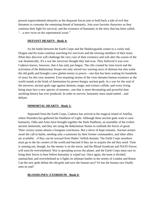present unprecedented obstacles as the disparate forces join to hold back a tide of evil that threatens to consume the remaining thread of humanity. Join your favorite characters as they continue their fight for survival, and the existence of humanity in the story that has been called, "…a new twist on the supernatural scene."

#### **DEFIANT HEARTS - Book 4:**

As the battle between the Earth Corps and the Shadowguards comes to a costly end, Dragon and his team continue searching for survivors and the missing members of their team. What they discover will challenge the very core of their existence and will alter the course of the war dramatically. It's a war the survivors thought they had won. They believed it was over. Cadence knows, however, that it has only just begun. The rifts created by time travel and the activation of the Babylonian Stones not only stirred two warring races of demons but also woke the old golds and brought a new global enemy to power—one that has been waiting for hundreds of years for this very moment. Ever-mutating strains of the virus threaten human existence as the world stands at the brink of domination by power-hungry ancient gods. In a war for the soul of the universe, ancient gods rage against demons, magic and science collide, and every living being must face a new species of monster...one that is more devastating and powerful than anything history has ever produced. In order to survive, humanity must stand united…and defiant.

#### **IMMORTAL HEARTS - Book 5:**

Separated from the Earth Corps, Cadence has arrived at the magical island of Antillia, where Poseidon has gathered the Pantheon of Light. Although these ancient gods want to save humanity, Odin and Aries have brought together the Dark Pantheon, an assembly of the evilest ancient immortals, and they are using the Babylonian Stones to outflank the forces of good. Their victory seems almost a foregone conclusion. But a sliver of hope remains. Ancient armies await the call to battle, needing only a summons by their former commanders, and other allies are available…if they can be rescued from Hades' hellish domain. The Earth Corps members must go to the far corners of the world and beyond if they are to acquire the aid they need. Time is running out, though, for the enemy is on the move, and the Blood Syndicate and NATO forces will soon be overwhelmed. War is spreading across the planet, and the Earth Corps must race to bring their forces to bear before humanity is wiped out. Once again, the team is divided, outmatched, and overwhelmed as it fights its ultimate battles in the streets of London and Rome. Can the new gods defeat the old gods and save the human race? Or has the human race finally seen its end?

#### **BLOODLINES: EXORDIUM - Book 6:**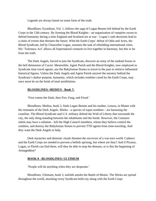Legends are always based on some form of the truth.

Bloodlines: Exordium, Vol. 1, follows the saga of Logan Bennet left behind by the Earth Corps in the 13th century. By forming the Blood Knights—an organization of vampires sworn to defend humanity during a time England and Scotland are at war—Logan's rash decisions lead to a chain of events that threaten the future. With the Earth Corps' defeat of Odin and Aries, the Blood Syndicate, led by Chancellor Logan, assumes the task of rebuilding international cities. His 'Tolerance Act' allows all Supernatural creatures to live together in harmony, but this is far from the truth.

The Dark Angels, forced to join the Syndicate, discover an army of the undead frozen in the hell dimension of Caceri. Meanwhile, Agent Parish and the Blood Knights, now employed as Syndicate time travel agents, use the Babylonian Stones to travel to the past to retrieve influential historical figures. Unless the Dark Angels and Agent Parish unravel the mystery behind the Syndicate's darker purpose, humanity, which includes zombies cured by the Earth Corps, may once more be on the brink of total annihilation.

#### **BLOODLINES: MEDIUS - Book 7:**

'First comes the Dark, then Fire, Fang, and Flood.'

Bloodlines: Medius, book 2, finds Logan Bennet and his mother, Lenora, in Miami with the remnants of the Dark Angels. Shirka—a species of super-zombies—are harassing the coastline. The Blood Syndicate and U.S. military defend the Wall of Liberty that surrounds the city, the only thing standing between the inhabitants and the horde. However, the Centauro rebels may have a solution—kill the High Council members, whom they believe control the zombies, and destroy the Babylonian Stones to prevent TTD agents from time-traveling. And they want the Dark Angels to help.

Dark mysteries and demonic rituals threaten the survivors of a war-torn world. Cadence and the Earth Corps are needed to prevent a hellish uprising, but where are they? And if Picasso, Logan, or Parish can find them, will they be able to stop the demons, or is this the beginning of Armageddon?

#### **BOOK 8 - BLOODLINES: ULTIMUM**

'People will do anything when they are desperate.'

Bloodlines: Ultimum, book 3, unfolds amidst the Battle of Miami. The Shirka are spread throughout the world, attacking every Syndicate-held city along with the Earth Corps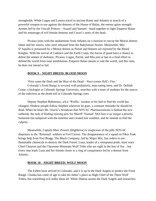strongholds. While Logan and Lenora travel to ancient Rome and Atlantis in search of a powerful weapon to use against the demons of the House of Balan, the enemy gains strength. Armies led by the Vescali Princes—Azazel and Samael—band together to fight Emperor Balan and his entourage of evil female demons and Caceri's army of the dead.

Picasso joins with the anidaemons from Atlantis on a mission to rescue the Moirai demon Ishtar and her sisters, who were released from the Babylonian Stones. Meanwhile, Mia D'Aquilla is possessed by a Moirai demon as Parish and Hansen are rejoined by the Blood Knights. With the arrival of Cadence and the Earth Corps, the forces of good have a chance to defeat the armies of darkness. Picasso, Logan, Parish, and Mia join at last in a final effort to defend the world from total annihilation. Emperor Balan means to rule the world, and this time, he does not intend to fail.

#### **BOOK 9 – NIGHT BREED: BLOOD MOON**

'First came the Dark and the Rise of the Dead—Next comes Hell's Fire.' Colorado's Front Range is covered with prehistoric, man-eating trees, and Dr. Delilah Crane, a biologist at Colorado Springs University, searches with a team of students for the source of the infection as the death toll in Colorado Springs rises.

Deputy Stephen Babineaux, a/k/a 'Wolfie,' awakes in his bed to find the world has changed. Shadow people follow Stephen wherever he goes, a constant reminder he should be dead. When he hears Mr. Oracle's broadcast that NOVAC Pharmaceuticals is behind the new outbreak, the task of finding missing pets for Sheriff 'Nomad' McClain is no longer a priority. Someone has tampered with the timeline and created tree zombies, and he intends to find the culprits.

Meanwhile, Captain Marc Powers (Highbrow) is suspicious of the pills NOVAC dispenses to the 'Returned' soldiers at Fort Carson. The disappearance of a squad on Pikes Peak brings help from Fort Bragg. The Black Company, led by Major Mix, has orders to use flammable chemicals to destroy the Dark Forest. Luna, leader of a werepuma pride, must warn Chief Chayton and the Cheyenne Mountain Wolf Tribe who are right in the line of fire…but every step leads Luna and her friends closer to a ring of conspirators led by a demon from Atlantis.

#### **BOOK 10 – NIGHT BREED: WOLF MOON**

The Fallen have arrived in Colorado, and it is up to the Dark Angels to protect the Front Range. Chaska has come of age to take his father's place as High Chief of the Three Wolf Tribes, but something evil stalks them all. While Sheena assists the Dark Angels and researches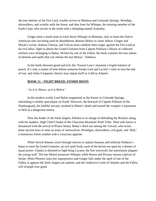the true identity of the Fire Lord, trouble arrives in Manitou and Colorado Springs. Wendigo, skinwalkers, and wraiths stalk the forest, and they hunt for Whisper, the missing member of the Earth Corps who travels in the north with a sheepdog named Asmoday.

Ginger joins a small team to track down Whisper in Montana, only to learn the Native American sites are being used by bloodthirsty demons Below to come Above. Ginger and Micah's coven, shaman Chenoa, and Vulcan must combine their magic against the Fire Lord as his evil allies' fight to obtain the Grand Grimoire from Captain Pallaton's library of collected artifacts once belonging to Balan. Written by one of the Fallen, the book contains the true names of demons and spells that can release the last Moirai—Nabessa.

In the battle between good and evil, the 'Eternal Laws' maintain a fragile balance of power. It's only a matter of time before someone breaks God and Lucifer's rules to turn the tide of war, and when it happens, history may repeat itself as it did in Atlantis.

#### **BOOK 11 – NIGHT BREED: STORM MOON**

'As it is Above, so it is Below.'

In the modern world, Lord Balan reappeared as the Kaiser in Colorado Springs, unleashing a zombie apocalypse on Earth. However, the betrayal of Captain Pallaton of the Shadowguard, his faithful servant, resulted in Balan's death and earned the vampire a reputation in Hell as a dangerous enemy.

Now the leader of the Dark Angels, Pallaton is in charge of defending the Rockies along with his nephew, High Chief Chaska of the Cheyenne Mountain Wolf Tribe. Their safe haven is threatened with the arrival of Prince Stolas, Balan's third son among the Vescali, who twists these ancient laws to raise an army of werewolves, Wendigos, skinwalkers, evil gods, and 'Bob,' a monstrous forest zombie with a voracious appetite.

When Serval demons crawl through mirrors to replace humans and infiltrate Pallaton's home to steal the Grand Grimoire, an evil spell book, each of the heroes set upon by a demon of equal power. Chaska is destined to fight King Lycaon, the first werewolf, but uncertainty plagues the young wolf. The last Moirai possesses Whisper while Raven and Picasso remain captives of Stolas. When Phoenix loses her superpowers and Ginger falls under the spell of one of the Fallen, it appears the Dark Angels are undone, and the vindictive Lords of Atlantis and the Fallen will triumph over good.